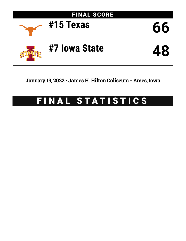

January 19, 2022 • James H. Hilton Coliseum - Ames, Iowa

# FINAL STATISTICS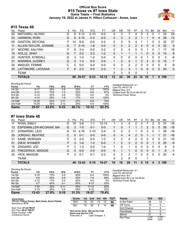# **Official Box Score #15 Texas vs #7 Iowa State Game Totals -- Final Statistics January 19, 2022 at James H. Hilton Coliseum - Ames, Iowa**



# **#15 Texas 66**

| No. | Plaver                | S | <b>Pts</b> | FG       | 3FG      | FT        | 0R | DR | TR             | PF             | A              | TO       | <b>BIK</b>   | Stl      | Min | $+/-$ |
|-----|-----------------------|---|------------|----------|----------|-----------|----|----|----------------|----------------|----------------|----------|--------------|----------|-----|-------|
| 02  | MATHARU, ALIYAH       | G | 8          | $3 - 13$ | $2 - 10$ | $0-0$     | 4  | 3  |                | 4              | 5              | 3        | 0            |          | 33  | 24    |
| 03  | <b>HARMON, RORI</b>   | G | 8          | $4 - 10$ | $0 - 3$  | $0 - 0$   | 0  | 3  | 3              | $\overline{2}$ |                |          | 0            | 4        | 29  | 15    |
| 05  | <b>GASTON, DEYONA</b> | F | 14         | $6-9$    | $0 - 0$  | $2 - 2$   | 2  | 3  | 5              | 4              |                |          | 5            | 3        | 32  | 27    |
| 11  | ALLEN-TAYLOR, JOANNE  | G |            | $3 - 10$ | $1 - 6$  | $0 - 0$   | 0  | 2  | $\overline{2}$ | $\overline{2}$ | 4              | $\Omega$ | $\mathbf{0}$ | 0        | 32  | 9     |
| 21  | MOORE, AALIYAH        | F | 8          | $3 - 4$  | $0 - 0$  | $2 - 2$   | 2  | 2  | 4              | 5              | $\Omega$       | 1        | 0            |          | 17  | 18    |
| 10  | HOLLE, SHAY           | G | 7          | $2 - 2$  | $2 - 2$  | $1 - 2$   | 0  | 1  |                |                |                | $\Omega$ | $\Omega$     | $\Omega$ | 14  | 8     |
| 22  | HUNTER, KYNDALL       | G | 3          | $1 - 2$  | $1-2$    | $0 - 0$   | 0  | 0  | 0              | 0              | 0              |          | 0            | 0        | 3   | -6    |
| 31  | <b>WARREN, AUDREY</b> | G | 5          | $1 - 4$  | $0 - 0$  | $3 - 4$   |    | 3  | 4              |                | $\overline{2}$ | 2        | 0            | 0        | 15  | 7     |
| 34  | MASUDI, FEMME         | C | 0          | $0 - 0$  | $0 - 0$  | $0 - 0$   | 0  | 2  | $\overline{2}$ | $\overline{2}$ | 0              | 0        | 0            | 0        | 5   | -9    |
| 35  | LATTIMORE, LATASHA    | F | 6          | $2 - 3$  | $0 - 0$  | $2 - 2$   |    | 2  | 3              |                | 0              | $\Omega$ | 2            | 0        | 20  | $-3$  |
|     | TEAM                  |   |            |          |          |           | 2  | 3  | 5              | 0              |                |          |              |          |     |       |
|     | <b>TOTALS</b>         |   | 66         | 25-57    | $6 - 23$ | $10 - 12$ | 12 | 24 | 36             | 22             | 14             | 10       |              | 9        | 199 |       |

| Game                                | 25-57     | 43.9% | $6 - 23$ | 26.1% | $10 - 12$ | 83.3% |
|-------------------------------------|-----------|-------|----------|-------|-----------|-------|
| 2nd Half                            | $10 - 28$ | 36%   | $3 - 12$ | 25%   | $4 - 4$   | 100%  |
| 1st Half                            | $15 - 29$ | 52%   | $3 - 11$ | 27%   | $6 - 8$   | 75%   |
| 4th Qtr                             | $4 - 14$  | 29%   | $1 - 6$  | 17%   | $4 - 4$   | 100%  |
| 3rd Qtr                             | $6 - 14$  | 43%   | $2-6$    | 33%   | $0 - 0$   | 0%    |
| 2nd Qtr                             | $9 - 12$  | 75%   | $1 - 3$  | 33%   | $4-6$     | 67%   |
| 1st Qtr                             | $6 - 17$  | 35%   | $2 - 8$  | 25%   | $2 - 2$   | 100%  |
| <b>Shooting By Period</b><br>Period | FG        | FG%   | 3FG      | 3FG%  | FT        | FT%   |

*Deadball Rebounds:* 3,1 *Last FG:* 4th-01:24 *Biggest Run:* 9-0 *Largest lead:* By 24 at 4th-03:34 *Technical Fouls:* None.

# **#7 Iowa State 48**

| No. | Plaver                 | S  | Pts            | FG        | 3FG      | FТ      | 0R | DR | TR | PF             | A        | TO | <b>B</b> lk | Stl | Min | $+/-$    |
|-----|------------------------|----|----------------|-----------|----------|---------|----|----|----|----------------|----------|----|-------------|-----|-----|----------|
| 11  | RYAN, EMILY            | G  | 19             | $3-6$     | 1-1      | 12-14   |    | 3  | 4  |                | 4        |    |             | 0   | 37  | $-16$    |
| 13  | ESPENMILLER-MCGRAW, MA | G  | $\overline{2}$ | $1 - 5$   | $0 - 1$  | $0 - 0$ |    | 0  |    |                |          | 2  | 0           | 0   | 26  | $-18$    |
| 21  | DONARSKI, LEXI         | G  | 14             | 4-16      | $3 - 10$ | $3 - 4$ | 0  | 2  | 2  |                | 0        | 2  | 0           |     | 38  | $-16$    |
| 25  | JORDAO, BEATRIZ        | C  | 0              | $0 - 1$   | $0 - 0$  | $0 - 0$ | 0  | 4  | 4  | 2              | $\Omega$ |    |             |     | 21  | $-16$    |
| 31  | KANE, MORGAN           | F  | 5.             | $2 - 5$   | $0 - 0$  | $1 - 3$ | 2  | 2  | 4  | 2              | 0        | 2  | $\Omega$    | 0   | 21  | $-10$    |
| 01  | DIEW, NYAMER           | F  | 3              | $1 - 6$   | $1 - 3$  | $0 - 0$ |    | 2  | 3  | $\overline{2}$ | $\Omega$ | 0  |             | 0   | 20  | -9       |
| 15  | ZINGARO, IZZI          | F  | 3              | 1-3       | $0 - 0$  | $1 - 4$ |    | O  |    | 0              | 0        | 0  | 0           | 0   | 9   | $\Omega$ |
| 23  | FREDERICK, MADDIE      | G  | 0              | $0 - 0$   | $0 - 0$  | $0 - 0$ | 0  |    |    | 0              | 0        | 0  | 0           |     | 8   | $-1$     |
| 32  | <b>VICK, MAGGIE</b>    | F. | 2              | $0 - 1$   | $0 - 1$  | $2 - 2$ | 0  | 2  | 2  |                | $\Omega$ | 0  | $\Omega$    | 0   | 20  | $-4$     |
|     | <b>TEAM</b>            |    |                |           |          |         | 4  | 2  | 6  | 0              |          | ◢  |             |     |     |          |
|     | <b>TOTALS</b>          |    | 48             | $12 - 43$ | $5 - 16$ | 19-27   | 10 | 18 | 28 | 11             | 5        | 15 | 4           | 3   | 199 |          |

| <b>Shooting By Period</b> |           |       |          |       |           |       | De  |
|---------------------------|-----------|-------|----------|-------|-----------|-------|-----|
| Period                    | FG        | FG%   | 3FG      | 3FG%  | FT        | FT%   | La  |
| 1st Qtr                   | $2 - 16$  | 13%   | $2 - 5$  | 40%   | $4 - 4$   | 100%  | Big |
| 2nd Qtr                   | $5-8$     | 63%   | $3-6$    | 50%   | $7 - 8$   | 88%   | La. |
| 3rd Qtr                   | $2 - 12$  | 17%   | $0 - 4$  | 00%   | $0 - 0$   | 0%    | Te  |
| 4th Qtr                   | $3 - 7$   | 43%   | $0 - 1$  | 00%   | $8 - 15$  | 53%   |     |
| 1st Half                  | $7-24$    | 29%   | $5 - 11$ | 45%   | $11 - 12$ | 92%   |     |
| 2nd Half                  | $5 - 19$  | 26%   | $0 - 5$  | 00%   | $8 - 15$  | 53%   |     |
| Game                      | $12 - 43$ | 27.9% | $5 - 16$ | 31.3% | 19-27     | 70.4% |     |

*Deadball Rebounds:* 4,1 *Last FG:* 4th-02:04 *Biggest Run:* 8-0 *Largest lead:* By 2 at 1st-09:24 *Technical Fouls:* None.

| Game Notes:                                                               | <b>Score</b>                             | 1st. | 2nd | 3rd             | 4th | <b>TOT</b> | <b>Points</b>     | TEX | <b>ISU</b> |
|---------------------------------------------------------------------------|------------------------------------------|------|-----|-----------------|-----|------------|-------------------|-----|------------|
| Officials: Felicia Grinter, Mark Zentz, Kevin Pethtel<br>Attendance: 9774 | TEX                                      | 16   | 23  | 14              |     | 66         | In the Paint      | 26  | 12         |
|                                                                           | <b>ISU</b>                               | 10   | 20  |                 | 14  | 48         | Off Turns         |     |            |
| Start Time: 07:32 PM ET                                                   |                                          |      |     |                 |     |            | 2nd Chance        |     |            |
| End Time: 09:27 PM ET<br>Game Duration: 1:55                              | TEX led for 36:01. ISU led for 0:58.     |      |     |                 |     |            | <b>Fast Break</b> |     |            |
| Conference Game:                                                          | Game was tied for 2:55.<br>Timon tiod: 9 |      |     | Lood Changoo: 4 |     |            | Bench             |     |            |

**Times tied: 3** Times tied: **3** Lead Changes: **1**

| In the Paint | 26             | 12             |
|--------------|----------------|----------------|
| Off Turns    | 15             | 5              |
| 2nd Chance   | 8              |                |
| Fast Break   | 6              |                |
| Bench        | 21             | 8              |
| Per Poss     | 1.100<br>30/60 | 0.787<br>22/61 |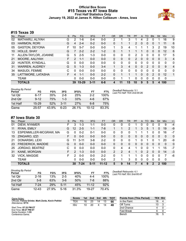# **Official Box Score #15 Texas vs #7 Iowa State First Half Statistics Only January 19, 2022 at James H. Hilton Coliseum - Ames, Iowa**



# **#15 Texas 39**

| No. | Player                | S  | <b>Pts</b> | FG        | 3FG      | <b>FT</b> | <b>OR</b> | <b>DR</b> | TR | PF             | A | TO            | <b>Blk</b> | Stl      | <b>Min</b>  | $+/-$          |
|-----|-----------------------|----|------------|-----------|----------|-----------|-----------|-----------|----|----------------|---|---------------|------------|----------|-------------|----------------|
| 02  | MATHARU, ALIYAH       | G  | 2          | $1 - 6$   | $0 - 4$  | $0 - 0$   | 2         | 1         | 3  |                | 4 | $\mathcal{P}$ | $\Omega$   |          | 16          | 9              |
| 03  | <b>HARMON, RORI</b>   | G  | 4          | $2 - 4$   | $0 - 2$  | $0 - 0$   | 0         |           |    | $\overline{2}$ | 0 | 0             | $\Omega$   |          | 11          | 6              |
| 05  | <b>GASTON, DEYONA</b> |    | 10         | $5 - 7$   | $0 - 0$  | $0 - 0$   |           | 3         | 4  |                |   |               | 3          | 2        | 19          | 10             |
| 10  | HOLLE, SHAY           | G  |            | $2 - 2$   | $2 - 2$  | $1 - 2$   | 0         |           |    |                |   | 0             | 0          | 0        | 12          | 6              |
| 11  | ALLEN-TAYLOR, JOANNE  | G  | 5.         | $2 - 5$   | 1-3      | $0 - 0$   | 0         | 0         | 0  | 2              | 3 | 0             | 0          | 0        | 17          | 5              |
| 21  | MOORE, AALIYAH        | F. | 2          | $1 - 1$   | $0 - 0$  | $0 - 0$   | 0         | 0         | 0  | $\overline{2}$ | 0 | 0             | $\Omega$   | $\Omega$ | 3           | 4              |
| 22  | HUNTER, KYNDALL       | G  | 0          | $0 - 0$   | $0 - 0$  | $0 - 0$   | 0         | 0         | 0  | $\Omega$       | 0 | $\Omega$      | 0          | 0        | 0           | $\mathbf{0}$   |
| 31  | <b>WARREN, AUDREY</b> | G  | 5          | $1 - 3$   | $0 - 0$  | $3-4$     | 1         | 3         | 4  | $\Omega$       | 0 | $\mathcal{P}$ | $\Omega$   | 0        | 9           | $\overline{4}$ |
| 34  | MASUDI, FEMME         | C  | 0          | $0 - 0$   | $0 - 0$  | $0 - 0$   | 0         | 0         | 0  | 0              | 0 | 0             | 0          | 0        | $\Omega$    | 0              |
| 35  | LATTIMORE, LATASHA    | F. | 4          | $1 - 1$   | $0 - 0$  | $2 - 2$   | $\Omega$  |           |    |                | 0 | $\Omega$      | 2          | 0        | 12          | $\mathbf{1}$   |
|     | <b>TEAM</b>           |    | 0          | $0 - 0$   | $0 - 0$  | $0 - 0$   | 0         | 1         |    | 0              | 0 | 0             | 0          | 0        | $\mathbf 0$ |                |
|     | <b>TOTALS</b>         |    | 39         | $15 - 29$ | $3 - 11$ | $6 - 8$   |           | 11        | 15 | 10             | 9 | 5             | 5          | 4        | 100         |                |

| <b>Shooting By Period</b><br>Period | FG       | FG%   | 3FG      | 3FG%  | FТ        | FT%   | Deadball Rebounds: 3,1<br>Last FG Half: TEX 2nd-00:26 |
|-------------------------------------|----------|-------|----------|-------|-----------|-------|-------------------------------------------------------|
| 1st Qtr                             | $6 - 17$ | 35%   | $2 - 8$  | 25%   | $2 - 2$   | 100%  |                                                       |
| 2nd Qtr                             | $9 - 12$ | 75%   | $1-3$    | 33%   | 4-6       | 67%   |                                                       |
| 1st Half                            | $15-29$  | 52%   | $3 - 11$ | 27%   | 6-8       | 75%   |                                                       |
| Game                                | 25-57    | 43.9% | $6 - 23$ | 26.1% | $10 - 12$ | 83.3% |                                                       |

# **#7 Iowa State 30**

| No. | Player                 | S. | Pts           | <b>FG</b> | 3FG     | <b>FT</b> | <b>OR</b>     | DR       | TR           | PF       | A | TO       | <b>B</b> lk | Stl          | Min      | $+/-$        |
|-----|------------------------|----|---------------|-----------|---------|-----------|---------------|----------|--------------|----------|---|----------|-------------|--------------|----------|--------------|
| 01  | DIEW, NYAMER           | F  | 3             | 1-3       | $1 - 1$ | $0-0$     |               | 0        |              |          |   | 0        | 0           | 0            | 9        | $-4$         |
| 11  | RYAN, EMILY            | G  | 12            | $2 - 5$   | $1 - 1$ | $7-8$     |               |          | 2            |          | 3 | 5        |             | $\Omega$     | 19       | -9           |
| 13  | ESPENMILLER-MCGRAW, MA | G  | 0             | $0 - 2$   | $0 - 1$ | $0 - 0$   | 0             | 0        | 0            |          |   |          | 0           | 0            | 16       | $-7$         |
| 15  | ZINGARO, IZZI          | F. | 0             | $0 - 0$   | $0 - 0$ | $0 - 0$   | 0             | 0        | $\mathbf{0}$ | $\Omega$ | 0 | 0        | 0           | $\Omega$     | $\Omega$ | $\mathbf{0}$ |
| 21  | DONARSKI, LEXI         | G  | 11            | $3 - 11$  | $3 - 8$ | $2 - 2$   | 0             | $\Omega$ | 0            |          |   |          | 0           |              | 20       | -9           |
| 23  | FREDERICK, MADDIE      | G  | 0             | $0 - 0$   | $0 - 0$ | $0 - 0$   | 0             | 0        | $\Omega$     | $\Omega$ | 0 | $\Omega$ | 0           | $\Omega$     | $\Omega$ | $\mathbf{0}$ |
| 25  | JORDAO, BEATRIZ        | C  | 0             | $0 - 0$   | $0 - 0$ | $0 - 0$   | 0             | 4        | 4            |          | ი | 0        |             |              | 15       | $-7$         |
| 31  | KANE, MORGAN           | F  | $\mathcal{P}$ | $1 - 3$   | $0 - 0$ | $0 - 0$   | $\mathcal{P}$ | 2        | 4            |          | 0 | 2        | 0           | 0            | 14       | $-3$         |
| 32  | <b>VICK, MAGGIE</b>    | F  | 2             | $0 - 0$   | $0 - 0$ | $2 - 2$   | 0             |          |              |          | 0 | 0        | 0           | <sup>0</sup> | 7        | -6           |
|     | <b>TEAM</b>            |    | 0             | $0 - 0$   | $0 - 0$ | $0 - 0$   | っ             |          | 3            | 0        | 0 | 0        | 0           | $\Omega$     | 0        |              |
|     | <b>TOTALS</b>          |    | 30            | $7 - 24$  | $5-11$  | $11 - 12$ | 5             | 9        | 14           |          | 4 | 9        | 2           | 2            | 100      |              |

| <b>Shooting By Period</b><br>Period | FG        | FG%   | 3FG      | 3FG%  | FТ        | FT%   |
|-------------------------------------|-----------|-------|----------|-------|-----------|-------|
| 1st Otr                             | $2 - 16$  | 13%   | $2 - 5$  | 40%   | 4-4       | 100%  |
| 2nd Qtr                             | $5 - 8$   | 63%   | $3-6$    | 50%   | 7-8       | 88%   |
| 1st Half                            | 7-24      | 29%   | $5 - 11$ | 45%   | $11 - 12$ | 92%   |
| Game                                | $12 - 43$ | 27.9% | $5-16$   | 31.3% | 19-27     | 70.4% |

*Deadball Rebounds:* 4,1 *Last FG Half:* ISU 2nd-00:47

| Game Notes:                                                               | <b>Score</b> | 1st | 2 <sub>nd</sub> | 3rd | 4th | <b>TOT</b> | <b>Points from (This Period)</b> | <b>TEX ISU</b> |  |
|---------------------------------------------------------------------------|--------------|-----|-----------------|-----|-----|------------|----------------------------------|----------------|--|
| Officials: Felicia Grinter, Mark Zentz, Kevin Pethtel<br>Attendance: 9774 | TEX          | 16  | 23              | 14  |     | 66         | In the Paint                     | 18             |  |
|                                                                           | isu          | 10  | 20              |     |     | 48         | Off Turns                        | 13             |  |
| Start Time: 07:32 PM ET                                                   |              |     |                 |     |     |            | 2nd Chance                       |                |  |
| End Time: 09:27 PM ET<br>Game Duration: 1:55                              |              |     |                 |     |     |            | Fast Break                       |                |  |
| Conference Game:                                                          |              |     |                 |     |     |            | Bench                            | 16             |  |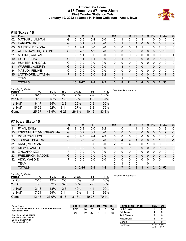# **Official Box Score #15 Texas vs #7 Iowa State First Quarter Statistics Only January 19, 2022 at James H. Hilton Coliseum - Ames, Iowa**



# **#15 Texas 16**

| No. | Plaver                | S | <b>Pts</b>    | <b>FG</b> | 3FG     | <b>FT</b> | 0R       | D <sub>R</sub> | TR           | PF       | A        | TO       | <b>B</b> lk | <b>Stl</b> | Min            | $+/-$ |
|-----|-----------------------|---|---------------|-----------|---------|-----------|----------|----------------|--------------|----------|----------|----------|-------------|------------|----------------|-------|
| 02  | MATHARU, ALIYAH       | G | 0             | $0 - 5$   | $0 - 4$ | $0 - 0$   | 2        |                | 3            | 0        | 3        |          | 0           | 0          | 10             | 6     |
| 03  | <b>HARMON, RORI</b>   | G | 0             | $0 - 1$   | $0 - 1$ | $0 - 0$   | $\Omega$ |                |              |          | 0        | 0        | 0           | 0          | 4              | 2     |
| 05  | <b>GASTON, DEYONA</b> | F | 4             | $2 - 4$   | $0 - 0$ | $0 - 0$   | 0        | 0              | 0            |          |          |          | 3           | 2          | 10             | 6     |
| 11  | ALLEN-TAYLOR, JOANNE  | G | 5             | $2 - 3$   | $1 - 2$ | $0 - 0$   | $\Omega$ | 0              | 0            | 0        | $\Omega$ | 0        | 0           | $\Omega$   | 10             | 6     |
| 21  | MOORE, AALIYAH        | F | 2             | $1 - 1$   | $0 - 0$ | $0 - 0$   | $\Omega$ | 0              | 0            | 2        | $\Omega$ | 0        | 0           | 0          | 3              | 4     |
| 10  | HOLLE, SHAY           | G | 3             | $1 - 1$   | $1 - 1$ | $0 - 0$   | $\Omega$ |                | 1            | $\Omega$ | $\Omega$ | 0        | 0           | $\Omega$   | 2              | 3     |
| 22  | HUNTER, KYNDALL       | G | 0             | $0 - 0$   | $0 - 0$ | $0 - 0$   | 0        | $\Omega$       | 0            | 0        | $\Omega$ | $\Omega$ | 0           | 0          | 0              | 0     |
| 31  | <b>WARREN, AUDREY</b> | G | 0             | $0 - 2$   | $0 - 0$ | $0 - 0$   |          | 3              | 4            | 0        | $\Omega$ |          | 0           | $\Omega$   | $\overline{4}$ | 1     |
| 34  | MASUDI, FEMME         | C | 0             | $0 - 0$   | $0 - 0$ | $0 - 0$   | 0        | 0              | 0            | 0        |          | 0        | 0           | 0          | 0              | 0     |
| 35  | LATTIMORE, LATASHA    | F | $\mathcal{P}$ | $0 - 0$   | $0 - 0$ | $2 - 2$   | $\Omega$ |                | $\mathbf{1}$ | $\Omega$ | $\Omega$ | 0        | 2           | $\Omega$   | 7              | 2     |
|     | TEAM                  |   |               |           |         |           | $\Omega$ | 1              | 1            | 0        |          | 0        |             |            |                |       |
|     | <b>TOTALS</b>         |   | 16            | $6 - 17$  | $2 - 8$ | $2 - 2$   | 3        | 8              | 11           | 4        | 4        | 3        | 5           |            | 50             |       |

| <b>Shooting By Period</b><br>Period | FG        | FG%   | 3FG      | 3FG%  | FT        | FT%   |
|-------------------------------------|-----------|-------|----------|-------|-----------|-------|
| 1st Qtr                             | $6 - 17$  | 35%   | $2 - 8$  | 25%   | $2 - 2$   | 100%  |
| 2nd Qtr                             | $9 - 12$  | 75%   | $1 - 3$  | 33%   | $4-6$     | 67%   |
| 1st Half                            | $6 - 17$  | 35%   | $2 - 8$  | 25%   | $2 - 2$   | 100%  |
| 1st Half                            | 15-29     | 52%   | $3 - 11$ | 27%   | $6 - 8$   | 75%   |
| Game                                | $25 - 57$ | 43.9% | $6 - 23$ | 26.1% | $10 - 12$ | 83.3% |

# **#7 Iowa State 10**

| No. | Plaver                 | S | <b>Pts</b> | <b>FG</b> | 3FG     | <b>FT</b> | OR       | DR | TR      | PF | A              | TO       | <b>Blk</b> | Stl      | Min      | $+/-$        |
|-----|------------------------|---|------------|-----------|---------|-----------|----------|----|---------|----|----------------|----------|------------|----------|----------|--------------|
| 11  | RYAN, EMILY            | G | 2          | $0 - 3$   | $0 - 0$ | $2 - 2$   |          | 0  |         |    |                |          |            | 0        | 9        | -6           |
| 13  | ESPENMILLER-MCGRAW, MA | G | $\Omega$   | $0 - 2$   | 0-1     | $0 - 0$   | 0        | 0  | 0       | 0  | $\overline{0}$ | 0        | 0          | $\Omega$ | 9        | -6           |
| 21  | DONARSKI, LEXI         | G | 8          | $2 - 7$   | 2-4     | $2 - 2$   | 0        | 0  | 0       | 0  | 0              | ∩        | 0          |          | 10       | -6           |
| 25  | JORDAO, BEATRIZ        | С | $\Omega$   | $0 - 0$   | $0 - 0$ | $0 - 0$   | 0        | 4  | 4       |    | 0              | 0        |            |          | 8        | $-1$         |
| 31  | KANE, MORGAN           | F | ∩          | $0 - 2$   | 0-0     | $0-0$     | 2        | 2  | 4       | 0  | 0              |          | 0          | 0        | 8        | -6           |
| 01  | DIEW, NYAMER           | F | $\Omega$   | $0 - 2$   | $0 - 0$ | $0 - 0$   | 0        | 0  | 0       | 0  | $\overline{0}$ | 0        | 0          | 0        | 2        | $\Omega$     |
| 15  | ZINGARO, IZZI          | F | $\Omega$   | $0 - 0$   | $0 - 0$ | $0 - 0$   | 0        | 0  | 0       | 0  | 0              | 0        | 0          | 0        | $\Omega$ | $\mathbf{0}$ |
| 23  | FREDERICK, MADDIE      | G | $\Omega$   | $0 - 0$   | $0 - 0$ | $0 - 0$   | 0        | 0  | 0       | 0  | $\Omega$       | 0        | 0          | $\Omega$ | 0        | $\mathbf{0}$ |
| 32  | <b>VICK, MAGGIE</b>    | F | $\Omega$   | $0 - 0$   | $0 - 0$ | $0 - 0$   | $\Omega$ | 0  | 0       | 0  | $\Omega$       | $\Omega$ | 0          | $\Omega$ | 4        | -5           |
|     | <b>TEAM</b>            |   |            |           |         |           | 2        | 1  | 3       | 0  |                | 0        |            |          |          |              |
|     | <b>TOTALS</b>          |   | 10         | $2 - 16$  | $2 - 5$ | 4-4       | 5        |    | $12 \,$ | 2  |                | 4        | 2          | 2        | 50       |              |

| 100%<br>1st Qtr<br>$2 - 16$<br>13%<br>40%<br>$2 - 5$<br>4-4       | Deadball Rebounds: 4,1 |
|-------------------------------------------------------------------|------------------------|
|                                                                   |                        |
| 88%<br>2nd Qtr<br>50%<br>$5 - 8$<br>63%<br>$3-6$<br>7-8           |                        |
| 100%<br>1st Half<br>13%<br>40%<br>$2 - 16$<br>$2 - 5$<br>$4 - 4$  |                        |
| 1st Half<br>45%<br>92%<br>29%<br>7-24<br>$5 - 11$<br>$11 - 12$    |                        |
| 70.4%<br>27.9%<br>31.3%<br>19-27<br>Game<br>$12 - 43$<br>$5 - 16$ |                        |

| Game Notes:                                                               | <b>Score</b> |    | 1st 2nd | 3rd | 4th | <b>TOT</b> | <b>Points (This Period)</b> | TEX           | <b>ISU</b>    |
|---------------------------------------------------------------------------|--------------|----|---------|-----|-----|------------|-----------------------------|---------------|---------------|
| Officials: Felicia Grinter, Mark Zentz, Kevin Pethtel<br>Attendance: 9774 | TEX          | 16 | 23      | 14  | 13  | 66         | In the Paint                |               |               |
|                                                                           | <b>ISU</b>   | 10 | 20      | 4   | 14  | 48         | Off Turns                   |               |               |
| Start Time: 07:32 PM ET                                                   |              |    |         |     |     |            | 2nd Chance                  |               |               |
| End Time: 09:27 PM ET<br>Game Duration: 1:55                              |              |    |         |     |     |            | <b>Fast Break</b>           |               |               |
| Conference Game:                                                          |              |    |         |     |     |            | Bench                       |               |               |
|                                                                           |              |    |         |     |     |            | Per Poss                    | 0.889<br>7/18 | 0.588<br>4/17 |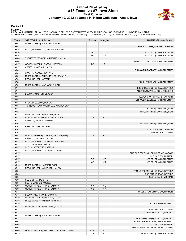## **Official Play-By-Play #15 Texas vs #7 Iowa State First Quarter January 19, 2022 at James H. Hilton Coliseum - Ames, Iowa**



### **Period 1**

<mark>Startersː</mark><br>#15 Texas: 2 MATHARU,ALIYAH (G); 3 HARMON,RORI (G); 5 GASTON,DEYONA (F); 11 ALLEN-TAYLOR,JOANNE (G); 21 MOORE,AALIYAH (F);<br>#7 Iowa State: 11 RYAN,EMILY (G); 13 ESPENMILLER-MCGRAW,MAGGIE (G); 21 DONARSKI,LEXI (G

| Time  | <b>VISITORS: #15 Texas</b>                 | <b>Score</b> | <b>Margin</b>  | HOME: #7 Iowa State                 |
|-------|--------------------------------------------|--------------|----------------|-------------------------------------|
| 09:43 | MISSED 3PTR by MATHARU, ALIYAH             |              |                |                                     |
| 09:41 |                                            |              |                | REBOUND (DEF) by KANE, MORGAN       |
| 09:24 | FOUL (PERSONAL) by MOORE, AALIYAH          |              |                |                                     |
| 09:24 |                                            | $1 - 0$      | H <sub>1</sub> | GOOD! FT by DONARSKI, LEXI          |
| 09:24 |                                            | $2 - 0$      | H <sub>2</sub> | GOOD! FT by DONARSKI, LEXI          |
| 09:08 | TURNOVER (TRAVEL) by MATHARU, ALIYAH       |              |                |                                     |
| 08:44 |                                            |              |                | TURNOVER (TRAVEL) by KANE, MORGAN   |
| 08:27 | GOOD! JUMPER by GASTON, DEYONA             | $2 - 2$      | $\top$         |                                     |
| 08:27 | ASSIST by MATHARU, ALIYAH                  |              |                |                                     |
| 08:09 |                                            |              |                | TURNOVER (BADPASS) by RYAN, EMILY   |
| 08:09 | STEAL by GASTON, DEYONA                    |              |                |                                     |
| 08:02 | MISSED 3PTR by ALLEN-TAYLOR, JOANNE        |              |                |                                     |
| 07:59 | REBOUND (OFF) by TEAM                      |              |                |                                     |
| 07:59 |                                            |              |                | FOUL (PERSONAL) by RYAN, EMILY      |
| 07:51 | MISSED 3PTR by MATHARU, ALIYAH             |              |                |                                     |
| 07:47 |                                            |              |                | REBOUND (DEF) by JORDAO, BEATRIZ    |
| 07:41 |                                            |              |                | MISSED JUMPER by DONARSKI, LEXI     |
| 07:41 | BLOCK by GASTON, DEYONA                    |              |                |                                     |
| 07:38 |                                            |              |                | REBOUND (OFF) by KANE, MORGAN       |
| 07:35 |                                            |              |                | TURNOVER (BADPASS) by RYAN, EMILY   |
| 07:35 | STEAL by GASTON, DEYONA                    |              |                |                                     |
| 07:31 | TURNOVER (BADPASS) by GASTON, DEYONA       |              |                |                                     |
| 07:31 |                                            |              |                | STEAL by DONARSKI, LEXI             |
| 07:28 |                                            |              |                | MISSED 3PTR by DONARSKI, LEXI       |
| 07:25 | REBOUND (DEF) by HARMON, RORI              |              |                |                                     |
| 07:24 | GOOD! LAYUP by MOORE, AALIYAH [FB]         | $2 - 4$      | V <sub>2</sub> |                                     |
| 07:24 | ASSIST by GASTON, DEYONA                   |              |                |                                     |
| 07:04 |                                            |              |                | MISSED 3PTR by DONARSKI, LEXI       |
| 07:01 | REBOUND (DEF) by TEAM                      |              |                |                                     |
| 07:01 |                                            |              |                | SUB OUT: KANE, MORGAN               |
| 07:01 |                                            |              |                | SUB IN: VICK, MAGGIE                |
| 06:44 | GOOD! JUMPER by GASTON, DEYONA [PNT]       | $2-6$        | V <sub>4</sub> |                                     |
| 06:44 | ASSIST by MATHARU, ALIYAH                  |              |                |                                     |
| 06:37 | FOUL (PERSONAL) by MOORE, AALIYAH          |              |                |                                     |
| 06:37 | SUB OUT: MOORE, AALIYAH                    |              |                |                                     |
| 06:37 | SUB IN: LATTIMORE, LATASHA                 |              |                |                                     |
| 06:27 | FOUL (PERSONAL) by HARMON, RORI            |              |                |                                     |
| 06:27 |                                            |              |                | SUB OUT: ESPENMILLER-MCGRAW, MAGGIE |
| 06:27 |                                            |              |                | SUB IN: DIEW, NYAMER                |
| 06:27 |                                            | $3-6$        | $V_3$          | GOOD! FT by RYAN, EMILY             |
| 06:27 |                                            | $4-6$        | V <sub>2</sub> | GOOD! FT by RYAN, EMILY             |
| 06:15 | MISSED 3PTR by HARMON, RORI                |              |                |                                     |
| 06:11 | REBOUND (OFF) by MATHARU, ALIYAH           |              |                |                                     |
| 06:06 |                                            |              |                | FOUL (PERSONAL) by JORDAO, BEATRIZ  |
| 06:06 |                                            |              |                | SUB OUT: JORDAO, BEATRIZ            |
| 06:06 |                                            |              |                | SUB IN: KANE, MORGAN                |
| 06:06 | SUB OUT: HARMON, RORI                      |              |                |                                     |
| 06:06 | SUB IN: WARREN, AUDREY                     |              |                |                                     |
| 06:06 | GOOD! FT by LATTIMORE, LATASHA             | $4 - 7$      | $V_3$          |                                     |
| 06:06 | GOOD! FT by LATTIMORE, LATASHA             | $4 - 8$      | V <sub>4</sub> |                                     |
| 05:43 |                                            |              |                | MISSED JUMPER by DIEW, NYAMER       |
| 05:43 | BLOCK by LATTIMORE, LATASHA                |              |                |                                     |
| 05:39 | REBOUND (DEF) by WARREN, AUDREY            |              |                |                                     |
| 05:30 | MISSED LAYUP by MATHARU, ALIYAH            |              |                |                                     |
| 05:30 |                                            |              |                | BLOCK by RYAN, EMILY                |
| 05:28 | REBOUND (OFF) by MATHARU, ALIYAH           |              |                |                                     |
| 05:28 |                                            |              |                | SUB OUT: VICK, MAGGIE               |
| 05:28 |                                            |              |                | SUB IN: JORDAO, BEATRIZ             |
| 05:22 | MISSED 3PTR by MATHARU, ALIYAH             |              |                |                                     |
| 05:18 |                                            |              |                | REBOUND (DEF) by JORDAO, BEATRIZ    |
| 05:08 |                                            |              |                | TURNOVER (LOSTBALL) by RYAN, EMILY  |
| 05:08 |                                            |              |                | SUB OUT: DIEW, NYAMER               |
| 05:08 |                                            |              |                | SUB IN: ESPENMILLER-MCGRAW, MAGGIE  |
| 04:46 | GOOD! JUMPER by ALLEN-TAYLOR, JOANNE [PNT] | $4 - 10$     | $V_6$          |                                     |
| 04:25 |                                            | $7 - 10$     | $V_3$          | GOOD! 3PTR by DONARSKI, LEXI        |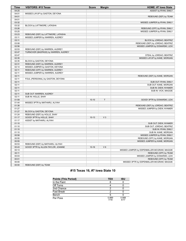| <b>Time</b>    | <b>VISITORS: #15 Texas</b>           | <b>Score</b> | <b>Margin</b>  | HOME: #7 Iowa State                         |
|----------------|--------------------------------------|--------------|----------------|---------------------------------------------|
| 04:25          |                                      |              |                | ASSIST by RYAN, EMILY                       |
| 04:01          | MISSED LAYUP by GASTON, DEYONA       |              |                |                                             |
| 04:01          |                                      |              |                | REBOUND (DEF) by TEAM                       |
| 04:01          |                                      |              |                |                                             |
| 03:32          |                                      |              |                | MISSED JUMPER by RYAN, EMILY                |
| 03:32          | BLOCK by LATTIMORE, LATASHA          |              |                |                                             |
| 03:26          |                                      |              |                | REBOUND (OFF) by RYAN, EMILY                |
| 03:25          |                                      |              |                | MISSED JUMPER by RYAN, EMILY                |
| 03:23          | REBOUND (DEF) by LATTIMORE, LATASHA  |              |                |                                             |
| 03:11          | MISSED JUMPER by WARREN, AUDREY      |              |                |                                             |
| 03:11          |                                      |              |                | BLOCK by JORDAO, BEATRIZ                    |
| 03:08          |                                      |              |                | REBOUND (DEF) by JORDAO, BEATRIZ            |
| 02:56          |                                      |              |                | MISSED JUMPER by DONARSKI, LEXI             |
| 02:53          | REBOUND (DEF) by WARREN, AUDREY      |              |                |                                             |
| 02:47          | TURNOVER (BADPASS) by WARREN, AUDREY |              |                |                                             |
| 02:47          |                                      |              |                | STEAL by JORDAO, BEATRIZ                    |
| 02:35          |                                      |              |                | MISSED LAYUP by KANE, MORGAN                |
| 02:35          | BLOCK by GASTON, DEYONA              |              |                |                                             |
| 02:31          | REBOUND (DEF) by WARREN, AUDREY      |              |                |                                             |
| 02:14          | MISSED JUMPER by GASTON, DEYONA      |              |                |                                             |
| 02:11          | REBOUND (OFF) by WARREN, AUDREY      |              |                |                                             |
| 02:11          | MISSED JUMPER by WARREN, AUDREY      |              |                |                                             |
| 02:11          |                                      |              |                | REBOUND (DEF) by KANE, MORGAN               |
| 02:11          | FOUL (PERSONAL) by GASTON, DEYONA    |              |                |                                             |
| 02:11          |                                      |              |                | SUB OUT: RYAN, EMILY                        |
| 02:11          |                                      |              |                | SUB OUT: KANE, MORGAN                       |
| 02:11          |                                      |              |                | SUB IN: DIEW, NYAMER                        |
| 02:11          |                                      |              |                | SUB IN: VICK, MAGGIE                        |
| 02:11          | SUB OUT: WARREN, AUDREY              |              |                |                                             |
| 02:11          | SUB IN: HOLLE, SHAY                  |              |                |                                             |
| 01:59          |                                      | $10 - 10$    | T              | GOOD! 3PTR by DONARSKI, LEXI                |
| 01:44          | MISSED 3PTR by MATHARU, ALIYAH       |              |                |                                             |
| 01:38          |                                      |              |                | REBOUND (DEF) by JORDAO, BEATRIZ            |
| 01:27          |                                      |              |                | MISSED JUMPER by DIEW, NYAMER               |
| 01:27          | BLOCK by GASTON, DEYONA              |              |                |                                             |
| 01:24          | REBOUND (DEF) by HOLLE, SHAY         |              |                |                                             |
| 01:17          | GOOD! 3PTR by HOLLE, SHAY            | $10-13$      | V <sub>3</sub> |                                             |
| 01:17          | ASSIST by MATHARU, ALIYAH            |              |                |                                             |
| 01:10          |                                      |              |                | SUB OUT: DIEW, NYAMER                       |
| 01:10          |                                      |              |                | SUB OUT: JORDAO, BEATRIZ                    |
| 01:10          |                                      |              |                | SUB IN: RYAN, EMILY                         |
| 01:10          |                                      |              |                | SUB IN: KANE, MORGAN                        |
| 00:58          |                                      |              |                | MISSED JUMPER by RYAN, EMILY                |
| 00:55          |                                      |              |                | REBOUND (OFF) by KANE, MORGAN               |
| 00:55          |                                      |              |                | MISSED JUMPER by KANE, MORGAN               |
| 00:53          | REBOUND (DEF) by MATHARU, ALIYAH     |              |                |                                             |
| 00:43          | GOOD! 3PTR by ALLEN-TAYLOR, JOANNE   | $10 - 16$    | $V_6$          |                                             |
| 00:13          |                                      |              |                | MISSED JUMPER by ESPENMILLER-MCGRAW, MAGGIE |
|                |                                      |              |                | REBOUND (OFF) by TEAM                       |
| 00:11<br>00:03 |                                      |              |                | MISSED JUMPER by DONARSKI, LEXI             |
| 00:01          |                                      |              |                | REBOUND (OFF) by TEAM                       |
| 00:00          |                                      |              |                | MISSED 3PTR by ESPENMILLER-MCGRAW, MAGGIE   |
|                |                                      |              |                |                                             |
| 00:00          | REBOUND (DEF) by TEAM                |              |                |                                             |

# **#15 Texas 16, #7 Iowa State 10**

| <b>Points (This Period)</b> | <b>TEX</b>    | ISU           |
|-----------------------------|---------------|---------------|
| In the Paint                |               |               |
| Off Turns                   |               |               |
| 2nd Chance                  |               |               |
| <b>Fast Break</b>           |               |               |
| Bench                       | 5             |               |
| Per Poss                    | 0.889<br>7/18 | 0.588<br>4/17 |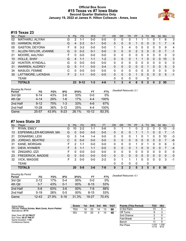# **Official Box Score #15 Texas vs #7 Iowa State Second Quarter Statistics Only January 19, 2022 at James H. Hilton Coliseum - Ames, Iowa**



# **#15 Texas 23**

| No. | Plaver                | S | <b>Pts</b> | <b>FG</b> | 3FG     | <b>FT</b> | <b>OR</b> | D <sub>R</sub> | TR | PF | A        | TO       | <b>B</b> lk | <b>Stl</b>   | Min | $+/-$          |
|-----|-----------------------|---|------------|-----------|---------|-----------|-----------|----------------|----|----|----------|----------|-------------|--------------|-----|----------------|
| 02  | MATHARU, ALIYAH       | G | 2          | 1-1       | $0 - 0$ | $0 - 0$   | 0         | 0              | 0  |    |          |          | 0           |              | 6   | 3              |
| 03  | <b>HARMON, RORI</b>   | G | 4          | $2 - 3$   | $0 - 1$ | $0 - 0$   | 0         | 0              | 0  |    | 0        | 0        | 0           |              |     | $\overline{4}$ |
| 05  | <b>GASTON, DEYONA</b> | F | 6          | $3 - 3$   | $0 - 0$ | $0 - 0$   | 1         | 3              | 4  | 0  | 0        | 0        | 0           | 0            | 9   | 4              |
| 11  | ALLEN-TAYLOR, JOANNE  | G | 0          | $0 - 2$   | $0 - 1$ | $0 - 0$   | $\Omega$  | 0              | 0  | 2  | 3        | $\Omega$ | 0           | 0            | 7   | $-1$           |
| 21  | MOORE, AALIYAH        | F | 0          | $0 - 0$   | $0 - 0$ | $0 - 0$   | $\Omega$  | 0              | 0  | 0  | $\Omega$ | 0        | 0           | $\Omega$     | 0   | 0              |
| 10  | HOLLE, SHAY           | G | 4          | $1 - 1$   | $1 - 1$ | $1 - 2$   | $\Omega$  | $\Omega$       | 0  | 1  |          | 0        | 0           | $\Omega$     | 10  | 3              |
| 22  | HUNTER, KYNDALL       | G | 0          | $0 - 0$   | $0 - 0$ | $0 - 0$   | 0         | $\mathbf{0}$   | 0  | 0  | $\Omega$ | 0        | 0           | $\Omega$     | 0   | 0              |
| 31  | <b>WARREN, AUDREY</b> | G | 5          | $1 - 1$   | $0 - 0$ | $3 - 4$   | $\Omega$  | $\Omega$       | 0  | 0  | $\Omega$ |          | 0           | $\mathbf{0}$ | 5   | 3              |
| 34  | MASUDI, FEMME         | C | 0          | $0 - 0$   | $0 - 0$ | $0 - 0$   | 0         | 0              | 0  | 0  |          | 0        | 0           | 0            | 0   | 0              |
| 35  | LATTIMORE, LATASHA    | F | 2          | $1 - 1$   | $0 - 0$ | $0 - 0$   | $\Omega$  | 0              | 0  | 1  | 0        | 0        | 0           | $\Omega$     | 5   | $-1$           |
|     | TEAM                  |   |            |           |         |           | 0         | 0              | 0  | 0  |          | 0        |             |              |     |                |
|     | <b>TOTALS</b>         |   | 23         | $9 - 12$  | $1 - 3$ | $4 - 6$   |           | 3              | 4  | 6  | 5        | 2        | n           | 2            | 50  |                |

| <b>Shooting By Period</b><br>Period | FG        | FG%   | 3FG      | 3FG%  | FT        | FT%   |
|-------------------------------------|-----------|-------|----------|-------|-----------|-------|
| 3rd Qtr                             | $6 - 14$  | 43%   | $2-6$    | 33%   | $0 - 0$   | 0%    |
| 4th Qtr                             | $4 - 14$  | 29%   | 1-6      | 17%   | $4 - 4$   | 100%  |
| 2nd Half                            | $9 - 12$  | 75%   | $1 - 3$  | 33%   | 4-6       | 67%   |
| 2nd Half                            | $10 - 28$ | 36%   | $3 - 12$ | 25%   | 4-4       | 100%  |
| Game                                | $25 - 57$ | 43.9% | $6 - 23$ | 26.1% | $10 - 12$ | 83.3% |

# **#7 Iowa State 20**

| No. | Player                 | <sub>S</sub> | <b>Pts</b> | <b>FG</b> | 3FG     | <b>FT</b> | <b>OR</b> | <b>DR</b> | TR           | PF           | A | TO       | <b>Blk</b> | Stl | Min | $+/-$        |
|-----|------------------------|--------------|------------|-----------|---------|-----------|-----------|-----------|--------------|--------------|---|----------|------------|-----|-----|--------------|
| 11  | RYAN, EMILY            | G            | 10         | $2 - 2$   | $1 - 1$ | 5-6       | 0         |           |              | 0            | 2 |          | O          | 0   | 10  | $-3$         |
| 13  | ESPENMILLER-MCGRAW, MA | G            | 0          | $0 - 0$   | $0 - 0$ | $0 - 0$   | 0         | 0         | 0            |              |   |          | 0          | 0   | 7   | $-1$         |
| 21  | DONARSKI, LEXI         | G            | 3          | $1 - 4$   | $1 - 4$ | $0 - 0$   | 0         | 0         | 0            | 1            | 0 |          | 0          | 0   | 10  | -3           |
| 25  | JORDAO, BEATRIZ        | С            | $\Omega$   | $0 - 0$   | $0 - 0$ | $0 - 0$   | 0         | 0         | 0            | $\Omega$     | 0 | $\Omega$ | 0          | 0   | 7   | -6           |
| 31  | KANE, MORGAN           | F            | 2          | 1-1       | $0 - 0$ | $0 - 0$   | 0         | 0         | 0            | 1            | 0 |          | 0          | 0   | 6   | 3            |
| 01  | DIEW, NYAMER           |              | 3          | 1-1       | $1 - 1$ | $0 - 0$   | 0         | 0         | 0            |              | 0 | 0        | 0          | 0   |     | $-4$         |
| 15  | ZINGARO, IZZI          | F            | 0          | $0 - 0$   | $0 - 0$ | $0 - 0$   | 0         | 0         | 0            | 0            | 0 | 0        | O          | 0   | 0   | 0            |
| 23  | FREDERICK, MADDIE      | G            | 0          | $0 - 0$   | $0 - 0$ | $0 - 0$   | 0         | 0         | $\mathbf{0}$ | $\Omega$     | 0 | $\Omega$ | $\Omega$   | 0   | 0   | $\mathbf{0}$ |
| 32  | <b>VICK, MAGGIE</b>    | F            | 2          | $0 - 0$   | $0 - 0$ | $2 - 2$   | 0         |           |              | 1            | 0 | 0        | 0          | 0   | 3   | -1           |
|     | <b>TEAM</b>            |              |            |           |         |           | 0         | 0         | 0            | $\mathbf{0}$ |   | 0        |            |     |     |              |
|     | <b>TOTALS</b>          |              | 20         | $5-8$     | $3-6$   | 7-8       | 0         | 2         | 2            | 5            | 3 | 5        | 0          | 0   | 50  |              |

**Score 1st 2nd 3rd 4th TOT** TEX 16 23 14 13 **66** ISU 10 20 4 14 **48**

| <b>Shooting By Period</b><br>Period | FG        | FG%   | 3FG      | 3FG%  | FT       | FT%   | Deadball Rebounds: 4,1 |
|-------------------------------------|-----------|-------|----------|-------|----------|-------|------------------------|
| 3rd Qtr                             | $2 - 12$  | 17%   | $0 - 4$  | 00%   | $0 - 0$  | 0%    |                        |
| 4th Qtr                             | $3 - 7$   | 43%   | $0 - 1$  | 00%   | $8 - 15$ | 53%   |                        |
| 2nd Half                            | $5-8$     | 63%   | $3-6$    | 50%   | 7-8      | 88%   |                        |
| 2nd Half                            | $5 - 19$  | 26%   | $0 - 5$  | 00%   | 8-15     | 53%   |                        |
| Game                                | $12 - 43$ | 27.9% | $5 - 16$ | 31.3% | 19-27    | 70.4% |                        |

**Points (This Period) TEX ISU**<br>In the Paint **10** 4 In the Paint Off Turns 9 3 2nd Chance 2 0 Fast Break 4 0 Bench 11 5 Per Poss 1.533<br>11/15 1.250 9/16

Start Time: **07:32 PM ET** End Time: **09:27 PM ET** Game Duration: **1:55** Conference Game;

Game Notes: Officials: **Felicia Grinter, Mark Zentz, Kevin Pethtel** Attendance: **9774**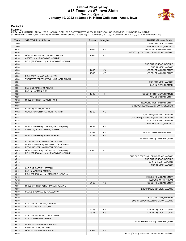## **Official Play-By-Play #15 Texas vs #7 Iowa State Second Quarter January 19, 2022 at James H. Hilton Coliseum - Ames, Iowa**



### **Period 2**

<mark>Startersː</mark><br>#15 Texas: 2 MATHARU,ALIYAH (G); 3 HARMON,RORI (G); 5 GASTON,DEYONA (F); 11 ALLEN-TAYLOR,JOANNE (G); 21 MOORE,AALIYAH (F);<br>#7 Iowa State: 11 RYAN,EMILY (G); 13 ESPENMILLER-MCGRAW,MAGGIE (G); 21 DONARSKI,LEXI (G

| <b>Time</b>    | <b>VISITORS: #15 Texas</b>              | <b>Score</b> | <b>Margin</b>  | HOME: #7 Iowa State                               |
|----------------|-----------------------------------------|--------------|----------------|---------------------------------------------------|
| 10:00          |                                         |              |                | SUB OUT: VICK, MAGGIE                             |
| 10:00          |                                         |              |                | SUB IN: JORDAO, BEATRIZ                           |
| 09:34          |                                         | 13-16        | $V_3$          | GOOD! 3PTR by RYAN, EMILY                         |
| 09:34          |                                         |              |                | ASSIST by ESPENMILLER-MCGRAW, MAGGIE              |
| 09:16          | GOOD! LAYUP by LATTIMORE, LATASHA       | $13 - 18$    | V <sub>5</sub> |                                                   |
| 09:16          | ASSIST by ALLEN-TAYLOR, JOANNE          |              |                |                                                   |
| 08:56          | FOUL (PERSONAL) by ALLEN-TAYLOR, JOANNE |              |                |                                                   |
| 08:56          |                                         |              |                | SUB OUT: JORDAO, BEATRIZ                          |
| 08:56          |                                         |              |                | SUB IN: VICK, MAGGIE                              |
| 08:56          |                                         | $14 - 18$    | V <sub>4</sub> | GOOD! FT by RYAN, EMILY                           |
| 08:56          |                                         | $15-18$      | $V_3$          | GOOD! FT by RYAN, EMILY                           |
| 08:34          | FOUL (OFF) by MATHARU, ALIYAH           |              |                |                                                   |
| 08:34          | TURNOVER (OFFENSIVE) by MATHARU, ALIYAH |              |                |                                                   |
| 08:34          |                                         |              |                | SUB OUT: VICK, MAGGIE                             |
| 08:34          |                                         |              |                | SUB IN: DIEW, NYAMER                              |
| 08:34          | SUB OUT: MATHARU, ALIYAH                |              |                |                                                   |
| 08:34          | SUB IN: HARMON, RORI                    |              |                |                                                   |
| 08:26          |                                         | $18-18$      | $\top$         | GOOD! 3PTR by DIEW, NYAMER                        |
| 08:26          |                                         |              |                | ASSIST by RYAN, EMILY                             |
| 08:12          | MISSED 3PTR by HARMON, RORI             |              |                |                                                   |
| 08:09          |                                         |              |                | REBOUND (DEF) by RYAN, EMILY                      |
| 07:56          |                                         |              |                | TURNOVER (LOSTBALL) by DONARSKI, LEXI             |
| 07:56          | STEAL by HARMON, RORI                   |              |                |                                                   |
| 07:52          | GOOD! JUMPER by HARMON, RORI [FB]       | 18-20        | V <sub>2</sub> |                                                   |
| 07:25          |                                         |              |                | FOUL (OFF) by KANE, MORGAN                        |
| 07:25          |                                         |              |                | TURNOVER (OFFENSIVE) by KANE, MORGAN              |
| 07:25          |                                         |              |                | SUB OUT: KANE, MORGAN                             |
| 07:25          |                                         |              |                | SUB IN: JORDAO, BEATRIZ                           |
| 07:10          | GOOD! JUMPER by GASTON, DEYONA [PNT]    | 18-22        | V <sub>4</sub> |                                                   |
| 07:10          | ASSIST by ALLEN-TAYLOR, JOANNE          |              |                |                                                   |
| 06:56          |                                         | 20-22        | V <sub>2</sub> | GOOD! LAYUP by RYAN, EMILY                        |
| 06:38          | GOOD! JUMPER by HARMON, RORI            | $20 - 24$    | V <sub>4</sub> |                                                   |
| 06:17          |                                         |              |                | MISSED 3PTR by DONARSKI, LEXI                     |
| 06:12          | REBOUND (DEF) by GASTON, DEYONA         |              |                |                                                   |
| 05:52          | MISSED JUMPER by ALLEN-TAYLOR, JOANNE   |              |                |                                                   |
| 05:50          | REBOUND (OFF) by GASTON, DEYONA         |              |                |                                                   |
| 05:49          | GOOD! JUMPER by GASTON, DEYONA [PNT]    | 20-26        | $V_6$          |                                                   |
| 05:19          | FOUL (PERSONAL) by ALLEN-TAYLOR, JOANNE |              |                |                                                   |
| 05:19          |                                         |              |                | SUB OUT: ESPENMILLER-MCGRAW, MAGGIE               |
| 05:19          |                                         |              |                | SUB OUT: JORDAO, BEATRIZ                          |
| 05:19          |                                         |              |                | SUB IN: KANE, MORGAN                              |
| 05:19          |                                         |              |                | SUB IN: VICK, MAGGIE                              |
| 05:19          | SUB OUT: GASTON, DEYONA                 |              |                |                                                   |
| 05:19          | SUB IN: WARREN, AUDREY                  |              |                |                                                   |
| 05:12          | FOUL (PERSONAL) by LATTIMORE, LATASHA   |              |                |                                                   |
| 05:12          |                                         |              |                | MISSED FT by RYAN, EMILY<br>REBOUND (OFF) by TEAM |
| 05:12<br>05:12 |                                         | $21 - 26$    | V <sub>5</sub> | GOOD! FT by RYAN, EMILY                           |
| 04:53          | MISSED 3PTR by ALLEN-TAYLOR, JOANNE     |              |                |                                                   |
| 04:50          |                                         |              |                | REBOUND (DEF) by VICK, MAGGIE                     |
| 04:39          | FOUL (PERSONAL) by HOLLE, SHAY          |              |                |                                                   |
| 04:39          |                                         |              |                |                                                   |
| 04:39          |                                         |              |                | SUB OUT: DIEW, NYAMER                             |
| 04:39          |                                         |              |                | SUB IN: ESPENMILLER-MCGRAW, MAGGIE                |
| 04:39          | SUB OUT: LATTIMORE, LATASHA             |              |                |                                                   |
| 04:39          | SUB IN: GASTON, DEYONA                  |              |                |                                                   |
| 04:39          |                                         | 22-26        | V <sub>4</sub> | GOOD! FT by VICK, MAGGIE                          |
| 04:39          |                                         | 23-26        | V <sub>3</sub> | GOOD! FT by VICK, MAGGIE                          |
| 04:39          | SUB OUT: ALLEN-TAYLOR, JOANNE           |              |                |                                                   |
| 04:39          | SUB IN: MATHARU, ALIYAH                 |              |                |                                                   |
| 04:23          |                                         |              |                | FOUL (PERSONAL) by DONARSKI, LEXI                 |
| 04:23          | MISSED FT by WARREN, AUDREY             |              |                |                                                   |
| 04:23          | REBOUND (OFF) by TEAM                   |              |                |                                                   |
| 04:23          | GOOD! FT by WARREN, AUDREY              | 23-27        | V <sub>4</sub> |                                                   |
| 03:58          |                                         |              |                | FOUL (OFF) by ESPENMILLER-MCGRAW, MAGGIE          |
|                |                                         |              |                |                                                   |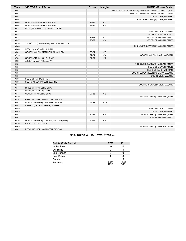| <b>Time</b> | <b>VISITORS: #15 Texas</b>           | <b>Score</b> | <b>Margin</b>  | <b>HOME: #7 lowa State</b>                         |
|-------------|--------------------------------------|--------------|----------------|----------------------------------------------------|
| 03:58       |                                      |              |                | TURNOVER (OFFENSIVE) by ESPENMILLER-MCGRAW, MAGGIE |
| 03:58       |                                      |              |                | SUB OUT: ESPENMILLER-MCGRAW, MAGGIE                |
| 03:58       |                                      |              |                | SUB IN: DIEW, NYAMER                               |
| 03:46       |                                      |              |                | FOUL (PERSONAL) by DIEW, NYAMER                    |
| 03:46       | GOOD! FT by WARREN, AUDREY           | 23-28        | V <sub>5</sub> |                                                    |
| 03:46       | GOOD! FT by WARREN, AUDREY           | 23-29        | V <sub>6</sub> |                                                    |
| 03:37       | FOUL (PERSONAL) by HARMON, RORI      |              |                |                                                    |
| 03:37       |                                      |              |                | SUB OUT: VICK, MAGGIE                              |
| 03:37       |                                      |              |                | SUB IN: JORDAO, BEATRIZ                            |
| 03:37       |                                      | 24-29        | V <sub>5</sub> | GOOD! FT by RYAN, EMILY                            |
| 03:37       |                                      | 25-29        | V <sub>4</sub> | GOOD! FT by RYAN, EMILY                            |
| 03:20       | TURNOVER (BADPASS) by WARREN, AUDREY |              |                |                                                    |
| 03:06       |                                      |              |                | TURNOVER (LOSTBALL) by RYAN, EMILY                 |
| 03:06       | STEAL by MATHARU, ALIYAH             |              |                |                                                    |
| 03:02       | GOOD! LAYUP by MATHARU, ALIYAH [FB]  | $25 - 31$    | $V_6$          |                                                    |
| 02:25       |                                      | $27 - 31$    | V <sub>4</sub> | GOOD! LAYUP by KANE, MORGAN                        |
| 02:09       | GOOD! 3PTR by HOLLE, SHAY            | 27-34        | V <sub>7</sub> |                                                    |
| 02:09       | ASSIST by MATHARU, ALIYAH            |              |                |                                                    |
| 01:54       |                                      |              |                | TURNOVER (BADPASS) by RYAN, EMILY                  |
| 01:54       |                                      |              |                | SUB OUT: DIEW, NYAMER                              |
| 01:54       |                                      |              |                | SUB OUT: KANE, MORGAN                              |
| 01:54       |                                      |              |                | SUB IN: ESPENMILLER-MCGRAW, MAGGIE                 |
| 01:54       |                                      |              |                | SUB IN: VICK, MAGGIE                               |
| 01:53       | SUB OUT: HARMON, RORI                |              |                |                                                    |
| 01:53       | SUB IN: ALLEN-TAYLOR, JOANNE         |              |                |                                                    |
| 01:47       |                                      |              |                | FOUL (PERSONAL) by VICK, MAGGIE                    |
| 01:47       | MISSED FT by HOLLE, SHAY             |              |                |                                                    |
| 01:47       | REBOUND (OFF) by TEAM                |              |                |                                                    |
| 01:47       | GOOD! FT by HOLLE, SHAY              | 27-35        | V8             |                                                    |
| 01:19       |                                      |              |                | MISSED 3PTR by DONARSKI, LEXI                      |
| 01:16       | REBOUND (DEF) by GASTON, DEYONA      |              |                |                                                    |
| 00:58       | GOOD! JUMPER by WARREN, AUDREY       | 27-37        | $V$ 10         |                                                    |
| 00:58       | ASSIST by ALLEN-TAYLOR, JOANNE       |              |                |                                                    |
| 00:49       |                                      |              |                | SUB OUT: VICK, MAGGIE                              |
| 00:49       |                                      |              |                | SUB IN: DIEW, NYAMER                               |
| 00:47       |                                      | 30-37        | V <sub>7</sub> | GOOD! 3PTR by DONARSKI, LEXI                       |
| 00:47       |                                      |              |                | ASSIST by RYAN, EMILY                              |
| 00:26       | GOOD! JUMPER by GASTON, DEYONA [PNT] | 30-39        | V <sub>9</sub> |                                                    |
| 00:26       | ASSIST by HOLLE, SHAY                |              |                |                                                    |
| 00:05       |                                      |              |                | MISSED 3PTR by DONARSKI, LEXI                      |
| 00:02       | REBOUND (DEF) by GASTON, DEYONA      |              |                |                                                    |

# **#15 Texas 39, #7 Iowa State 30**

| <b>Points (This Period)</b> | <b>TEX</b>     | <b>ISU</b>    |
|-----------------------------|----------------|---------------|
| In the Paint                | 10             |               |
| Off Turns                   |                |               |
| 2nd Chance                  |                |               |
| <b>Fast Break</b>           |                |               |
| Bench                       |                |               |
| Per Poss                    | 1.533<br>11/15 | 1.250<br>9/16 |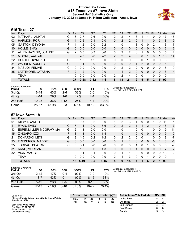# **Official Box Score #15 Texas vs #7 Iowa State Second Half Statistics Only January 19, 2022 at James H. Hilton Coliseum - Ames, Iowa**



# **#15 Texas 27**

| No. | Player                | S. | <b>Pts</b>     | <b>FG</b> | 3FG      | <b>FT</b> | 0R             | <b>DR</b> | TR            | PF       | A             | TO | <b>B</b> lk | <b>Stl</b> | Min         | $+/-$ |
|-----|-----------------------|----|----------------|-----------|----------|-----------|----------------|-----------|---------------|----------|---------------|----|-------------|------------|-------------|-------|
| 02  | MATHARU, ALIYAH       | G  | 6              | $2 - 7$   | $2-6$    | $0 - 0$   | 2              | 2         | 4             | 3        |               |    | 0           | $\Omega$   | 17          | 15    |
| 03  | <b>HARMON, RORI</b>   | G  | 4              | $2 - 6$   | $0 - 1$  | $0 - 0$   | $\Omega$       | 2         | 2             | $\Omega$ |               |    | 0           | 3.         | 18          | 9     |
| 05  | <b>GASTON, DEYONA</b> | F  | 4              | $1 - 2$   | $0 - 0$  | $2 - 2$   |                | 0         | 1             | 3        | 0             | 0  | 2           |            | 13          | 17    |
| 10  | <b>HOLLE, SHAY</b>    | G  | $\Omega$       | $0 - 0$   | $0 - 0$  | $0 - 0$   | 0              | 0         | 0             | 0        | 0             | 0  | 0           | 0          | 2           | 2     |
| 11  | ALLEN-TAYLOR, JOANNE  | G  | 2              | $1 - 5$   | $0 - 3$  | $0 - 0$   | 0              | 2         | 2             | 0        |               | 0  | 0           | 0          | 15          | 4     |
| 21  | MOORE, AALIYAH        | F  | 6              | $2 - 3$   | $0 - 0$  | $2 - 2$   | $\overline{2}$ | 2         | 4             | 3        | $\Omega$      |    | 0           |            | 13          | 14    |
| 22  | HUNTER, KYNDALL       | G  | 3              | $1 - 2$   | $1 - 2$  | $0 - 0$   | 0              | $\Omega$  | 0             | 0        | $\Omega$      | 1  | 0           | $\Omega$   | 3           | -6    |
| 31  | <b>WARREN, AUDREY</b> | G  | $\Omega$       | $0 - 1$   | $0 - 0$  | $0 - 0$   | $\Omega$       | $\Omega$  | $\Omega$      | 1        | $\mathcal{P}$ | 0  | 0           | $\Omega$   | 6           | 3     |
| 34  | MASUDI, FEMME         | C  | 0              | $0 - 0$   | $0 - 0$  | $0 - 0$   | 0              | 2         | 2             | 2        | 0             | 0  | 0           | 0          | 5           | -9    |
| 35  | LATTIMORE, LATASHA    | F  | $\overline{2}$ | $1 - 2$   | $0 - 0$  | $0 - 0$   |                |           | $\mathcal{P}$ | 0        | $\Omega$      | 0  | 0           | $\Omega$   | 8           | $-4$  |
|     | <b>TEAM</b>           |    | $\Omega$       | $0 - 0$   | $0 - 0$  | $0 - 0$   | 2              | 2         | 4             | $\Omega$ | $\Omega$      |    | 0           | $\Omega$   | $\mathbf 0$ |       |
|     | <b>TOTALS</b>         |    | 27             | $10 - 28$ | $3 - 12$ | $4 - 4$   | 8              | 13        | 21            | 12       | 5             | 5  | 2           | 5          | 99          |       |

| <b>Shooting By Period</b><br>Period | FG        | FG%   | 3FG      | 3FG%  | FТ        | FT%   | Deadball Rebounds: 3,1<br>Last FG Half: TEX 4th-01:24 |
|-------------------------------------|-----------|-------|----------|-------|-----------|-------|-------------------------------------------------------|
| 3rd Qtr                             | 6-14      | 43%   | $2 - 6$  | 33%   | $0 - 0$   | $0\%$ |                                                       |
| 4th Otr                             | $4 - 14$  | 29%   | $1 - 6$  | 17%   | $4 - 4$   | 100%  |                                                       |
| 2nd Half                            | $10 - 28$ | 36%   | $3 - 12$ | 25%   | 4-4       | 100%  |                                                       |
| Game                                | 25-57     | 43.9% | $6 - 23$ | 26.1% | $10 - 12$ | 83.3% |                                                       |

# **#7 Iowa State 18**

| No. | Plaver                 | S  | <b>Pts</b> | <b>FG</b> | 3FG     | <b>FT</b> | <b>OR</b> | DR | TR | <b>PF</b> | $\mathsf{A}$ | TO       | <b>BIK</b> | Stl          | Min | $+/-$        |
|-----|------------------------|----|------------|-----------|---------|-----------|-----------|----|----|-----------|--------------|----------|------------|--------------|-----|--------------|
| 01  | DIEW, NYAMER           | F  | 0          | $0 - 3$   | $0 - 2$ | $0-0$     |           | 2  | 3  |           |              |          |            | 0            | 11  | $-5$         |
| 11  | RYAN, EMILY            | G  |            | 1-1       | $0 - 0$ | $5-6$     | 0         | 2  | 2  |           |              | 2        |            | $\mathbf{0}$ | 18  | $-7$         |
| 13  | ESPENMILLER-MCGRAW, MA | G  | 2          | $1 - 3$   | $0-0$   | $0-0$     |           | 0  |    | 0         | 0            |          | 0          | 0            | 9   | -11          |
| 15  | ZINGARO, IZZI          | F  | 3          | $1 - 3$   | $0 - 0$ | $1 - 4$   |           | 0  |    | 0         | 0            | 0        | 0          | $\Omega$     | 9   | $\mathbf{0}$ |
| 21  | DONARSKI, LEXI         | G  | 3          | $1 - 5$   | $0 - 2$ | $1 - 2$   | 0         | 2  | 2  | 0         | 0            |          | 0          | 0            | 18  | $-7$         |
| 23  | FREDERICK, MADDIE      | G  | 0          | $0 - 0$   | $0 - 0$ | $0 - 0$   | 0         |    |    | 0         | $\mathbf{0}$ | 0        | 0          |              | 8   | $-1$         |
| 25  | JORDAO, BEATRIZ        | С  | U          | $0 - 1$   | $0 - 0$ | $0 - 0$   | 0         | 0  | 0  |           | 0            |          | 0          | 0            | 6   | -9           |
| 31  | KANE, MORGAN           | F. | 3          | $1 - 2$   | $0 - 0$ | $1 - 3$   | $\Omega$  | 0  | 0  |           | $\Omega$     | 0        | 0          | 0            | 7   | $-7$         |
| 32  | <b>VICK, MAGGIE</b>    | F. | 0          | $0 - 1$   | $0 - 1$ | $0 - 0$   | $\Omega$  |    | 1  | 0         | $\mathbf{0}$ | $\Omega$ | 0          | $\Omega$     | 13  | 2            |
|     | TEAM                   |    | 0          | $0 - 0$   | $0 - 0$ | $0 - 0$   | 2         |    | 3  | 0         | 0            |          | 0          | $\Omega$     | 0   |              |
|     | <b>TOTALS</b>          |    | 18         | $5-19$    | $0 - 5$ | $8 - 15$  | 5         | 9  | 14 |           |              | 6        | 2          |              | 99  |              |

| <b>Shooting By Period</b><br>Period | FG       | FG%   | 3FG      | 3FG%   | FT       | FT%   |
|-------------------------------------|----------|-------|----------|--------|----------|-------|
| 3rd Qtr                             | $2 - 12$ | 17%   | $0 - 4$  | 00%    | $0 - 0$  | 0%    |
| 4th Qtr                             | $3 - 7$  | 43%   | $0 - 1$  | $00\%$ | $8 - 15$ | 53%   |
| 2nd Half                            | $5 - 19$ | 26%   | $0-5$    | $00\%$ | $8 - 15$ | 53%   |
| Game                                | 12-43    | 27.9% | $5 - 16$ | 31.3%  | 19-27    | 70.4% |

*Deadball Rebounds:* 4,1 *Last FG Half:* ISU 4th-02:04

| Game Notes:                                                               | <b>Score</b> | 1st | 2nd | 3rd | 4th | <b>TOT</b> | <b>Points from (This Period)</b> | <b>TEX ISU</b> |  |
|---------------------------------------------------------------------------|--------------|-----|-----|-----|-----|------------|----------------------------------|----------------|--|
| Officials: Felicia Grinter, Mark Zentz, Kevin Pethtel<br>Attendance: 9774 | TEX          | 16  | 23  | 14  |     | 66         | In the Paint                     |                |  |
|                                                                           | <b>ISU</b>   | 10  | 20  |     |     | 48         | Off Turns                        |                |  |
| Start Time: 07:32 PM ET                                                   |              |     |     |     |     |            | 2nd Chance                       |                |  |
| End Time: 09:27 PM ET<br>Game Duration: 1:55                              |              |     |     |     |     |            | <b>Fast Break</b>                |                |  |
| Conference Game:                                                          |              |     |     |     |     |            | Bench                            |                |  |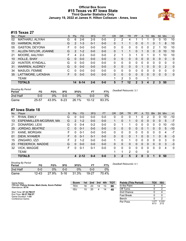# **Official Box Score #15 Texas vs #7 Iowa State Third Quarter Statistics Only January 19, 2022 at James H. Hilton Coliseum - Ames, Iowa**



# **#15 Texas 27**

| No. | Player                | S | <b>Pts</b>     | <b>FG</b> | 3FG     | <b>FT</b> | <b>OR</b> | <b>DR</b> | TR      | PF       | A        | TO | <b>B</b> lk | <b>Stl</b>   | Min          | $+/-$ |
|-----|-----------------------|---|----------------|-----------|---------|-----------|-----------|-----------|---------|----------|----------|----|-------------|--------------|--------------|-------|
| 02  | MATHARU, ALIYAH       | G | 6              | $2 - 6$   | $2 - 5$ | $0 - 0$   | 2         | 2         | 4       |          |          |    | 0           | 0            | 10           | 10    |
| 03  | HARMON, RORI          | G | $\overline{2}$ | $1 - 3$   | $0 - 1$ | $0 - 0$   | 0         |           |         | 0        | 0        |    | 0           |              | 8            | 10    |
| 05  | <b>GASTON, DEYONA</b> | F | 0              | $0 - 0$   | $0 - 0$ | $0 - 0$   | 0         | 0         | 0       | 0        | 0        | 0  | 2           |              | 10           | 10    |
| 11  | ALLEN-TAYLOR, JOANNE  | G | 2              | $1 - 2$   | $0 - 0$ | $0 - 0$   | 0         |           | 1       | $\Omega$ |          | 0  | 0           | $\mathbf{0}$ | 10           | 10    |
| 21  | MOORE, AALIYAH        | F | 4              | $2 - 3$   | $0 - 0$ | $0 - 0$   | 2         |           | 3       |          | 0        |    | 0           |              | 10           | 10    |
| 10  | HOLLE, SHAY           | G | $\Omega$       | $0 - 0$   | $0 - 0$ | $0 - 0$   | $\Omega$  | $\Omega$  | 0       | 0        | $\Omega$ | 0  | 0           | $\Omega$     | $\Omega$     | 0     |
| 22  | HUNTER, KYNDALL       | G | $\Omega$       | $0 - 0$   | $0 - 0$ | $0 - 0$   | 0         | 0         | 0       | 0        | $\Omega$ | 0  | 0           | 0            | 0            | 0     |
| 31  | <b>WARREN, AUDREY</b> | G | 0              | $0 - 0$   | $0 - 0$ | $0 - 0$   | $\Omega$  | $\Omega$  | 0       | $\Omega$ |          | 0  | $\Omega$    | $\Omega$     | 2            | 0     |
| 34  | MASUDI, FEMME         | C | 0              | $0 - 0$   | $0 - 0$ | $0 - 0$   | 0         | $\Omega$  | 0       | 0        | $\Omega$ | 0  | 0           | $\Omega$     | $\Omega$     | 0     |
| 35  | LATTIMORE, LATASHA    | F | 0              | $0 - 0$   | $0 - 0$ | $0 - 0$   | $\Omega$  | $\Omega$  | 0       | $\Omega$ | $\Omega$ | 0  | 0           | $\Omega$     | $\mathbf{0}$ | 0     |
|     | <b>TEAM</b>           |   |                |           |         |           |           | 2         | 3       | 0        |          |    |             |              |              |       |
|     | <b>TOTALS</b>         |   |                | 14 6-14   | $2 - 6$ | $0 - 0$   | 5         |           | $12 \,$ | 2        | 3        | 4  | 2           | 3            | 50           |       |
|     |                       |   |                |           |         |           |           |           |         |          |          |    |             |              |              |       |

| <b>Shooting By Period</b><br>Period | FG    | FG%   | 3FG      | 3FG%  | FТ      | FT%   | Deadball Rebounds: 3,1 |
|-------------------------------------|-------|-------|----------|-------|---------|-------|------------------------|
| 2nd Half                            | 0-0   | 0%    | $0 - 0$  | $0\%$ | 0-0     | 0%    |                        |
| Game                                | 25-57 | 43.9% | $6 - 23$ | 26.1% | $10-12$ | 83.3% |                        |

# **#7 Iowa State 18**

| No. | Plaver                 | S  | <b>Pts</b>            | <b>FG</b> | 3FG     | <b>FT</b> | <b>OR</b>    | DR          | TR | <b>PF</b> | A        | TO. | <b>B</b> lk | Stl      | Min | $+/-$ |
|-----|------------------------|----|-----------------------|-----------|---------|-----------|--------------|-------------|----|-----------|----------|-----|-------------|----------|-----|-------|
| 11  | RYAN, EMILY            | G  | 0                     | $0 - 0$   | $0 - 0$ | $0-0$     | 0            | 0           | 0  |           | 0        | 2   | ი           | 0        | 10  | $-10$ |
| 13  | ESPENMILLER-MCGRAW, MA | G  | $\mathbf{2}^{\prime}$ | $1 - 2$   | $0 - 0$ | $0 - 0$   |              | 0           | 1  | 0         | 0        | 0   | 0           | 0        | 5   | $-7$  |
| 21  | DONARSKI, LEXI         | G  | 0                     | $0 - 4$   | $0 - 2$ | $0-0$     | 0            |             |    | 0         | 0        | 0   | 0           | 0        | 10  | -10   |
| 25  | JORDAO, BEATRIZ        | С  | 0                     | $0 - 1$   | $0 - 0$ | $0 - 0$   | 0            | 0           | 0  | $\Omega$  | 0        |     | 0           | $\Omega$ | 5   | $-10$ |
| 31  | KANE, MORGAN           | F  | O                     | $0 - 1$   | $0 - 0$ | $0 - 0$   | $\mathbf{0}$ | 0           | 0  | 0         | 0        | 0   | 0           | 0        | 4   | $-7$  |
| 01  | DIEW, NYAMER           | F  | 0                     | $0 - 1$   | $0 - 1$ | $0 - 0$   | 0            | 0           | 0  | 1         | 0        | 0   |             | 0        | 6   | $-3$  |
| 15  | ZINGARO, IZZI          | F. | 2                     | $1-2$     | $0 - 0$ | $0 - 0$   |              | 0           |    | 0         | 0        | 0   | 0           | 0        | 3   | 0     |
| 23  | FREDERICK, MADDIE      | G  | 0                     | $0 - 0$   | $0 - 0$ | $0 - 0$   | $\Omega$     | 0           | 0  | $\Omega$  | 0        | 0   | 0           | 0        | 3   | $-3$  |
| 32  | <b>VICK, MAGGIE</b>    | F  | n                     | $0 - 1$   | $0 - 1$ | $0 - 0$   | $\Omega$     | 0           | 0  | 0         | 0        | 0   | 0           | $\Omega$ | 4   | 0     |
|     | <b>TEAM</b>            |    |                       |           |         |           |              | 1           | 2  | 0         |          | 0   |             |          |     |       |
|     | <b>TOTALS</b>          |    | 4                     | $2 - 12$  | $0 - 4$ | $0 - 0$   | 3            | $\mathbf 2$ | 5  | 2         | $\bf{0}$ | 3   |             | 0        | 50  |       |
|     |                        |    |                       |           |         |           |              |             |    |           |          |     |             |          |     |       |

| <b>Shooting By Period</b><br>Period | FG        | FG%   | 3FG      | 3FG%  | FТ    | FT%   | Deadball R |
|-------------------------------------|-----------|-------|----------|-------|-------|-------|------------|
| 2nd Half                            | 0-0       | ገ%    | 0-0      | 9%    | 0-0   | 0%    |            |
| Game                                | $12 - 43$ | 27.9% | $5 - 16$ | 31.3% | 19-27 | 70.4% |            |

*Deadball Rebounds:* 4,1

| Game Notes:                                                               | <b>Score</b> | 1st | 2 <sub>nd</sub> | 3rd | 4th | <b>TOT</b> | <b>Points (This Period)</b> | <b>TEX</b>    | <b>ISU</b>    |
|---------------------------------------------------------------------------|--------------|-----|-----------------|-----|-----|------------|-----------------------------|---------------|---------------|
| Officials: Felicia Grinter, Mark Zentz, Kevin Pethtel<br>Attendance: 9774 | TEX          | 16  | 23              | 14  |     | 66         | In the Paint                |               |               |
|                                                                           | ISU          | 10  | 20              | 4   | 14  | 48         | Off Turns                   |               |               |
| Start Time: 07:32 PM ET                                                   |              |     |                 |     |     |            | 2nd Chance                  |               |               |
| End Time: 09:27 PM ET<br>Game Duration: 1:55                              |              |     |                 |     |     |            | <b>Fast Break</b>           |               |               |
| Conference Game;                                                          |              |     |                 |     |     |            | Bench                       |               |               |
|                                                                           |              |     |                 |     |     |            | Per Poss                    | 1.077<br>6/13 | 0.333<br>2/12 |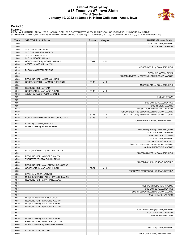# **Official Play-By-Play #15 Texas vs #7 Iowa State Third Quarter January 19, 2022 at James H. Hilton Coliseum - Ames, Iowa**



### **Period 3**

<mark>Startersː</mark><br>#15 Texas: 2 MATHARU,ALIYAH (G); 3 HARMON,RORI (G); 5 GASTON,DEYONA (F); 11 ALLEN-TAYLOR,JOANNE (G); 21 MOORE,AALIYAH (F);<br>#7 Iowa State: 11 RYAN,EMILY (G); 13 ESPENMILLER-MCGRAW,MAGGIE (G); 21 DONARSKI,LEXI (G

| Time           | <b>VISITORS: #15 Texas</b>            | <b>Score</b> | <b>Margin</b>   | HOME: #7 Iowa State                                                  |
|----------------|---------------------------------------|--------------|-----------------|----------------------------------------------------------------------|
| 10:00          |                                       |              |                 | SUB OUT: DIEW, NYAMER                                                |
| 10:00          |                                       |              |                 | SUB IN: KANE, MORGAN                                                 |
| 10:00          | SUB OUT: HOLLE, SHAY                  |              |                 |                                                                      |
| 10:00          | SUB OUT: WARREN, AUDREY               |              |                 |                                                                      |
| 10:00          | SUB IN: HARMON, RORI                  |              |                 |                                                                      |
| 10:00          | SUB IN: MOORE, AALIYAH                |              |                 |                                                                      |
| 09:38          | GOOD! JUMPER by MOORE, AALIYAH        | $30 - 41$    | $V$ 11          |                                                                      |
| 09:38          | ASSIST by MATHARU, ALIYAH             |              |                 |                                                                      |
| 09:15          |                                       |              |                 | MISSED LAYUP by DONARSKI, LEXI                                       |
| 09:15<br>09:15 | BLOCK by GASTON, DEYONA               |              |                 |                                                                      |
| 09:05          |                                       |              |                 | REBOUND (OFF) by TEAM<br>MISSED JUMPER by ESPENMILLER-MCGRAW, MAGGIE |
| 09:03          | REBOUND (DEF) by HARMON, RORI         |              |                 |                                                                      |
| 08:57          | GOOD! JUMPER by HARMON, RORI [PNT]    | $30 - 43$    | V <sub>13</sub> |                                                                      |
| 08:34          |                                       |              |                 | MISSED 3PTR by DONARSKI, LEXI                                        |
| 08:31          | REBOUND (DEF) by TEAM                 |              |                 |                                                                      |
| 08:12          | GOOD! 3PTR by MATHARU, ALIYAH         | 30-46        | V <sub>16</sub> |                                                                      |
| 08:12          | ASSIST by ALLEN-TAYLOR, JOANNE        |              |                 |                                                                      |
| 08:04          |                                       |              |                 | TIMEOUT 30SEC                                                        |
| 08:04          |                                       |              |                 |                                                                      |
| 08:04          |                                       |              |                 | SUB OUT: JORDAO, BEATRIZ                                             |
| 08:04          |                                       |              |                 | SUB IN: VICK, MAGGIE                                                 |
| 07:42          |                                       |              |                 | MISSED JUMPER by KANE, MORGAN                                        |
| 07:39          |                                       |              |                 | REBOUND (OFF) by ESPENMILLER-MCGRAW, MAGGIE                          |
| 07:36          |                                       | 32-46        | V <sub>14</sub> | GOOD! LAYUP by ESPENMILLER-MCGRAW, MAGGIE                            |
| 07:10          | GOOD! JUMPER by ALLEN-TAYLOR, JOANNE  | 32-48        | $V$ 16          |                                                                      |
| 06:45          |                                       |              |                 | TURNOVER (BADPASS) by RYAN, EMILY                                    |
| 06:45          | STEAL by GASTON, DEYONA               |              |                 |                                                                      |
| 06:31          | MISSED 3PTR by HARMON, RORI           |              |                 |                                                                      |
| 06:28          |                                       |              |                 | REBOUND (DEF) by DONARSKI, LEXI                                      |
| 06:28          |                                       |              |                 | SUB OUT: KANE, MORGAN                                                |
| 06:28          |                                       |              |                 | SUB OUT: VICK, MAGGIE                                                |
| 06:28          |                                       |              |                 | SUB IN: DIEW, NYAMER                                                 |
| 06:28          |                                       |              |                 | SUB IN: JORDAO, BEATRIZ                                              |
| 06:28          |                                       |              |                 | SUB OUT: ESPENMILLER-MCGRAW, MAGGIE                                  |
| 06:28          |                                       |              |                 | SUB IN: FREDERICK, MADDIE                                            |
| 06:12<br>05:52 | FOUL (PERSONAL) by MATHARU, ALIYAH    |              |                 | MISSED JUMPER by DONARSKI, LEXI                                      |
| 05:50          | REBOUND (DEF) by MOORE, AALIYAH       |              |                 |                                                                      |
| 05:20          | TURNOVER (SHOTCLOCK) by TEAM          |              |                 |                                                                      |
| 04:58          |                                       |              |                 | MISSED LAYUP by JORDAO, BEATRIZ                                      |
| 04:56          | REBOUND (DEF) by ALLEN-TAYLOR, JOANNE |              |                 |                                                                      |
| 04:34          | GOOD! 3PTR by MATHARU, ALIYAH         | $32 - 51$    | $V$ 19          |                                                                      |
| 04:09          |                                       |              |                 | TURNOVER (BADPASS) by JORDAO, BEATRIZ                                |
| 04:09          | STEAL by MOORE, AALIYAH               |              |                 |                                                                      |
| 03:46          | MISSED JUMPER by ALLEN-TAYLOR, JOANNE |              |                 |                                                                      |
| 03:43          | REBOUND (OFF) by MATHARU, ALIYAH      |              |                 |                                                                      |
| 03:43          |                                       |              |                 |                                                                      |
| 03:43          |                                       |              |                 | SUB OUT: FREDERICK, MADDIE                                           |
| 03:43          |                                       |              |                 | SUB OUT: JORDAO, BEATRIZ                                             |
| 03:43          |                                       |              |                 | SUB IN: ESPENMILLER-MCGRAW, MAGGIE                                   |
| 03:43          |                                       |              |                 | SUB IN: KANE, MORGAN                                                 |
| 03:37          | MISSED LAYUP by HARMON, RORI          |              |                 |                                                                      |
| 03:33          | REBOUND (OFF) by MOORE, AALIYAH       |              |                 |                                                                      |
| 03:30          | MISSED 3PTR by MATHARU, ALIYAH        |              |                 |                                                                      |
| 03:28          | REBOUND (OFF) by MOORE, AALIYAH       |              |                 |                                                                      |
| 03:28          |                                       |              |                 | FOUL (PERSONAL) by DIEW, NYAMER                                      |
| 03:28          |                                       |              |                 | SUB OUT: KANE, MORGAN                                                |
| 03:28          |                                       |              |                 | SUB IN: ZINGARO, IZZI                                                |
| 03:10          | MISSED 3PTR by MATHARU, ALIYAH        |              |                 |                                                                      |
| 03:07          | REBOUND (OFF) by MATHARU, ALIYAH      |              |                 |                                                                      |
| 03:06          | MISSED JUMPER by MATHARU, ALIYAH      |              |                 |                                                                      |
| 03:06          |                                       |              |                 | BLOCK by DIEW, NYAMER                                                |
| 03:06          | REBOUND (OFF) by TEAM                 |              |                 |                                                                      |
| 03:00          |                                       |              |                 | FOUL (PERSONAL) by RYAN, EMILY                                       |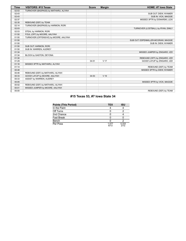| <b>Time</b> | <b>VISITORS: #15 Texas</b>             | <b>Score</b> | <b>Margin</b>   | <b>HOME: #7 lowa State</b>          |
|-------------|----------------------------------------|--------------|-----------------|-------------------------------------|
| 02:53       | TURNOVER (BADPASS) by MATHARU, ALIYAH  |              |                 |                                     |
| 02:43       |                                        |              |                 | SUB OUT: DIEW, NYAMER               |
| 02:43       |                                        |              |                 | SUB IN: VICK, MAGGIE                |
| 02:37       |                                        |              |                 | MISSED 3PTR by DONARSKI, LEXI       |
| 02:35       | REBOUND (DEF) by TEAM                  |              |                 |                                     |
| 02:14       | TURNOVER (BADPASS) by HARMON, RORI     |              |                 |                                     |
| 02:03       |                                        |              |                 | TURNOVER (LOSTBALL) by RYAN, EMILY  |
| 02:03       | STEAL by HARMON, RORI                  |              |                 |                                     |
| 01:50       | FOUL (OFF) by MOORE, AALIYAH           |              |                 |                                     |
| 01:50       | TURNOVER (OFFENSIVE) by MOORE, AALIYAH |              |                 |                                     |
| 01:50       |                                        |              |                 | SUB OUT: ESPENMILLER-MCGRAW, MAGGIE |
| 01:50       |                                        |              |                 | SUB IN: DIEW, NYAMER                |
| 01:50       | SUB OUT: HARMON, RORI                  |              |                 |                                     |
| 01:50       | SUB IN: WARREN, AUDREY                 |              |                 |                                     |
| 01:34       |                                        |              |                 | MISSED JUMPER by ZINGARO, IZZI      |
| 01:34       | BLOCK by GASTON, DEYONA                |              |                 |                                     |
| 01:30       |                                        |              |                 | REBOUND (OFF) by ZINGARO, IZZI      |
| 01:29       |                                        | $34 - 51$    | V <sub>17</sub> | GOOD! LAYUP by ZINGARO, IZZI        |
| 01:16       | MISSED 3PTR by MATHARU, ALIYAH         |              |                 |                                     |
| 01:14       |                                        |              |                 | REBOUND (DEF) by TEAM               |
| 00:48       |                                        |              |                 | MISSED 3PTR by DIEW, NYAMER         |
| 00:46       | REBOUND (DEF) by MATHARU, ALIYAH       |              |                 |                                     |
| 00:33       | GOOD! LAYUP by MOORE, AALIYAH          | $34 - 53$    | V <sub>19</sub> |                                     |
| 00:33       | ASSIST by WARREN, AUDREY               |              |                 |                                     |
| 00:05       |                                        |              |                 | MISSED 3PTR by VICK, MAGGIE         |
| 00:02       | REBOUND (DEF) by MATHARU, ALIYAH       |              |                 |                                     |
| 00:01       | MISSED JUMPER by MOORE, AALIYAH        |              |                 |                                     |
| 00:00       |                                        |              |                 | REBOUND (DEF) by TEAM               |

# **#15 Texas 53, #7 Iowa State 34**

| Points (This Period) | <b>TEX</b>    | ISU           |
|----------------------|---------------|---------------|
| In the Paint         |               |               |
| Off Turns            |               |               |
| 2nd Chance           |               |               |
| Fast Break           |               |               |
| Bench                |               |               |
| Per Poss             | 1.077<br>6/13 | 0.333<br>2/12 |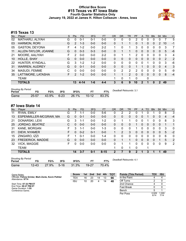# **Official Box Score #15 Texas vs #7 Iowa State Fourth Quarter Statistics Only January 19, 2022 at James H. Hilton Coliseum - Ames, Iowa**



# **#15 Texas 13**

| No. | Player                | S  | <b>Pts</b> | <b>FG</b> | 3FG     | <b>FT</b> | <b>OR</b>    | <b>DR</b>    | TR | PF           | A           | TO       | <b>Blk</b> | <b>Stl</b>     | Min            | $+/-$ |
|-----|-----------------------|----|------------|-----------|---------|-----------|--------------|--------------|----|--------------|-------------|----------|------------|----------------|----------------|-------|
| 02  | MATHARU, ALIYAH       | G  | 0          | $0 - 1$   | $0 - 1$ | $0-0$     | 0            | 0            | 0  | 2            | 0           | 0        | 0          | 0              |                | 5     |
| 03  | HARMON, RORI          | G  | 2          | $1 - 3$   | $0 - 0$ | $0 - 0$   | 0            |              | 1  | 0            |             | 0        | 0          | $\overline{2}$ | 10             | $-1$  |
| 05  | <b>GASTON, DEYONA</b> | F  | 4          | 1-2       | $0 - 0$ | $2 - 2$   | 1            | 0            | 1  | 3            | 0           | 0        | 0          | 0              | 3              | 7     |
| 11  | ALLEN-TAYLOR, JOANNE  | G  | $\Omega$   | $0 - 3$   | $0 - 3$ | $0 - 0$   | $\mathbf{0}$ |              | 1  | 0            | $\Omega$    | 0        | 0          | $\mathbf{0}$   | 5              | -6    |
| 21  | MOORE, AALIYAH        | F  | 2          | $0 - 0$   | $0 - 0$ | $2 - 2$   | $\Omega$     |              | 1  | 2            | $\Omega$    | 0        | 0          | $\Omega$       | 3              | 4     |
| 10  | <b>HOLLE, SHAY</b>    | G  | $\Omega$   | $0 - 0$   | $0 - 0$ | $0 - 0$   | $\Omega$     | 0            | 0  | 0            | 0           | 0        | 0          | $\mathbf{0}$   | 2              | 2     |
| 22  | HUNTER, KYNDALL       | G  | 3          | $1 - 2$   | $1 - 2$ | $0 - 0$   | $\Omega$     | 0            | 0  | 0            |             |          | 0          | 0              | 3              | -6    |
| 31  | <b>WARREN, AUDREY</b> | G  | $\Omega$   | $0 - 1$   | $0 - 0$ | $0 - 0$   | $\Omega$     | $\mathbf{0}$ | 0  | 1            |             | $\Omega$ | 0          | $\mathbf{0}$   | $\overline{4}$ | 3     |
| 34  | MASUDI, FEMME         | C  | 0          | $0 - 0$   | $0 - 0$ | $0 - 0$   | $\Omega$     | 2            | 2  | 2            | 0           | 0        | 0          | 0              | 5              | -9    |
| 35  | LATTIMORE, LATASHA    | F. | 2          | $1 - 2$   | $0 - 0$ | $0 - 0$   | $\mathbf 1$  |              | 2  | $\Omega$     | $\Omega$    | 0        | 0          | $\mathbf{0}$   | 8              | $-4$  |
|     | <b>TEAM</b>           |    |            |           |         |           |              | 0            | 1  | 0            |             | 0        |            |                |                |       |
|     | <b>TOTALS</b>         |    | 13         | 4-14      | $1 - 6$ | $4 - 4$   | 3            | 6            | 9  | $10^{\circ}$ | $\mathbf 2$ |          | 0          | $\mathbf{2}$   | 49             |       |
|     |                       |    |            |           |         |           |              |              |    |              |             |          |            |                |                |       |

| <b>Shooting By Period</b><br>Period | FG        | FG%   | 3FG      | 3FG%  | ET        | FT%   | Deadball Rebounds: 3,1 |
|-------------------------------------|-----------|-------|----------|-------|-----------|-------|------------------------|
| Game                                | $25 - 57$ | 43.9% | $6 - 23$ | 26.1% | $10 - 12$ | 83.3% |                        |

# **#7 Iowa State 14**

| No. | Player                 | S | <b>Pts</b> | FG.     | 3FG     | <b>FT</b> | 0R       | <b>DR</b>      | TR | PF | $\mathsf{A}$ | TO | <b>B</b> lk | Stl | Min | $+/-$          |
|-----|------------------------|---|------------|---------|---------|-----------|----------|----------------|----|----|--------------|----|-------------|-----|-----|----------------|
| 11  | RYAN, EMILY            | G |            | 1-1     | $0-0$   | $5-6$     |          | 2              | 2  | 0  |              |    |             | 0   | 8   | 3              |
| 13  | ESPENMILLER-MCGRAW, MA | G | 0          | $0 - 1$ | $0 - 0$ | $0 - 0$   | 0        | 0              | 0  | 0  | 0            |    | 0           | 0   | 4   | $-4$           |
| 21  | DONARSKI, LEXI         | G | 3          | 1-1     | $0 - 0$ | $1 - 2$   | 0        |                | 1. | 0  | 0            |    | 0           | 0   | 8   | 3              |
| 25  | JORDAO, BEATRIZ        | С | 0          | $0 - 0$ | $0 - 0$ | $0 - 0$   | $\Omega$ | 0              | 0  |    | 0            | 0  | 0           | 0   |     | 1              |
| 31  | KANE, MORGAN           | F | 3          | 1-1     | $0 - 0$ | 1-3       | 0        | 0              | 0  |    | 0            | 0  | 0           | 0   | 3   | $\mathbf 0$    |
| 01  | DIEW, NYAMER           | F | 0          | $0 - 2$ | $0 - 1$ | $0 - 0$   |          | $\overline{2}$ | 3  | 0  | $\mathbf{0}$ | 0  | 0           | 0   | 5   | $-2$           |
| 15  | ZINGARO, IZZI          | F |            | $0 - 1$ | $0 - 0$ | $1 - 4$   | 0        | 0              | 0  | 0  | 0            | ∩  | O           | 0   | 6   | $\mathbf 0$    |
| 23  | FREDERICK, MADDIE      | G | 0          | $0 - 0$ | $0 - 0$ | $0 - 0$   | 0        |                | 1. | 0  | $\mathbf{0}$ | 0  | 0           |     | 5   | 2              |
| 32  | <b>VICK, MAGGIE</b>    | F | U          | $0 - 0$ | $0 - 0$ | $0-0$     | 0        |                | 1. | 0  | $\Omega$     | ∩  | 0           | 0   | 9   | $\overline{2}$ |
|     | TEAM                   |   |            |         |         |           | 1        | 0              | 1  | 0  |              |    |             |     |     |                |
|     | <b>TOTALS</b>          |   | 14         | $3 - 7$ | $0 - 1$ | $8 - 15$  | 2        |                | 9  | 2  |              | 3  |             |     | 49  |                |

| <b>Shooting By Period</b><br>Period | FG        | FG%   | 3FG      | 3FG%  | FТ        | FT%   | Dea |
|-------------------------------------|-----------|-------|----------|-------|-----------|-------|-----|
| Game                                | $12 - 43$ | 27.9% | $5 - 16$ | 31.3% | $19 - 27$ | 70.4% |     |

*Deadball Rebounds:* 4,1

| Score |    | 1st 2nd 3rd 4th |    |    | <b>TOT</b> | <b>Points (This Period)</b> | <b>TEX</b>    | <b>ISU</b>    |
|-------|----|-----------------|----|----|------------|-----------------------------|---------------|---------------|
| TEX   | 16 | 23              | 14 | 13 | 66         | In the Paint                |               |               |
| isu   | 10 | 20              |    | 14 | 48         | Off Turns                   |               |               |
|       |    |                 |    |    |            | 2nd Chance                  |               |               |
|       |    |                 |    |    |            | <b>Fast Break</b>           |               |               |
|       |    |                 |    |    |            | Bench                       | 5             |               |
|       |    |                 |    |    |            | Per Poss                    | 0.929<br>6/14 | 1.000<br>7/14 |

Game Notes: Officials: **Felicia Grinter, Mark Zentz, Kevin Pethtel** Attendance: **9774** Start Time: **07:32 PM ET** End Time: **09:27 PM ET**

Game Duration: **1:55** Conference Game;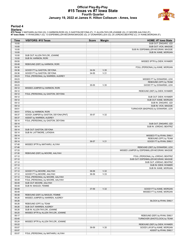### **Official Play-By-Play #15 Texas vs #7 Iowa State Fourth Quarter January 19, 2022 at James H. Hilton Coliseum - Ames, Iowa**



### **Period 4**

<mark>Startersː</mark><br>#15 Texas: 2 MATHARU,ALIYAH (G); 3 HARMON,RORI (G); 5 GASTON,DEYONA (F); 11 ALLEN-TAYLOR,JOANNE (G); 21 MOORE,AALIYAH (F);<br>#7 Iowa State: 11 RYAN,EMILY (G); 13 ESPENMILLER-MCGRAW,MAGGIE (G); 21 DONARSKI,LEXI (G

| Time           | <b>VISITORS: #15 Texas</b>           | <b>Score</b> | <b>Margin</b>   | <b>HOME: #7 lowa State</b>                                   |
|----------------|--------------------------------------|--------------|-----------------|--------------------------------------------------------------|
| 10:00          |                                      |              |                 | SUB OUT: ZINGARO, IZZI                                       |
| 10:00          |                                      |              |                 | SUB OUT: VICK, MAGGIE                                        |
| 10:00          |                                      |              |                 | SUB IN: ESPENMILLER-MCGRAW, MAGGIE                           |
| 10:00          |                                      |              |                 | SUB IN: KANE, MORGAN                                         |
| 10:00          | SUB OUT: ALLEN-TAYLOR, JOANNE        |              |                 |                                                              |
| 10:00          | SUB IN: HARMON, RORI                 |              |                 |                                                              |
| 09:50          |                                      |              |                 | MISSED 3PTR by DIEW, NYAMER                                  |
| 09:48          | REBOUND (DEF) by HARMON, RORI        |              |                 |                                                              |
| 09:36          |                                      |              |                 | FOUL (PERSONAL) by KANE, MORGAN                              |
| 09:36          | GOOD! FT by GASTON, DEYONA           | 34-54        | V <sub>20</sub> |                                                              |
| 09:36          | GOOD! FT by GASTON, DEYONA           | 34-55        | V <sub>21</sub> |                                                              |
| 09:23          | FOUL (PERSONAL) by WARREN, AUDREY    |              |                 |                                                              |
| 09:23          |                                      |              |                 | MISSED FT by DONARSKI, LEXI                                  |
| 09:23          |                                      |              |                 | REBOUND (OFF) by TEAM                                        |
| 09:23          |                                      | 35-55        | V <sub>20</sub> | GOOD! FT by DONARSKI, LEXI                                   |
| 09:12          | MISSED JUMPER by HARMON, RORI        |              |                 |                                                              |
| 09:12          |                                      |              |                 | REBOUND (DEF) by DIEW, NYAMER                                |
| 09:12          | FOUL (PERSONAL) by GASTON, DEYONA    |              |                 |                                                              |
| 09:12          |                                      |              |                 | SUB OUT: DIEW, NYAMER                                        |
| 09:12          |                                      |              |                 | SUB OUT: KANE, MORGAN                                        |
| 09:12          |                                      |              |                 | SUB IN: ZINGARO, IZZI                                        |
| 09:12          |                                      |              |                 | SUB IN: VICK, MAGGIE                                         |
| 08:51          |                                      |              |                 | TURNOVER (BADPASS) by DONARSKI, LEXI                         |
| 08:51          | STEAL by HARMON, RORI                |              |                 |                                                              |
| 08:37          | GOOD! JUMPER by GASTON, DEYONA [PNT] | 35-57        | V <sub>22</sub> |                                                              |
| 08:37          | ASSIST by WARREN, AUDREY             |              |                 |                                                              |
| 08:14          | FOUL (PERSONAL) by GASTON, DEYONA    |              |                 |                                                              |
| 08:14          |                                      |              |                 | SUB OUT: ZINGARO, IZZI                                       |
| 08:14          |                                      |              |                 | SUB IN: JORDAO, BEATRIZ                                      |
| 08:14          | SUB OUT: GASTON, DEYONA              |              |                 |                                                              |
| 08:14          | SUB IN: LATTIMORE, LATASHA           |              |                 |                                                              |
| 08:14          |                                      |              |                 | MISSED FT by RYAN, EMILY                                     |
| 08:14          |                                      |              |                 | REBOUND (OFF) by TEAM                                        |
| 08:14          |                                      | 36-57        | V <sub>21</sub> | GOOD! FT by RYAN, EMILY                                      |
| 07:48          | MISSED 3PTR by MATHARU, ALIYAH       |              |                 |                                                              |
| 07:46          |                                      |              |                 | REBOUND (DEF) by DONARSKI, LEXI                              |
| 07:33          |                                      |              |                 | MISSED JUMPER by ESPENMILLER-MCGRAW, MAGGIE                  |
| 07:30          | REBOUND (DEF) by MOORE, AALIYAH      |              |                 |                                                              |
| 07:12          |                                      |              |                 | FOUL (PERSONAL) by JORDAO, BEATRIZ                           |
| 07:12          |                                      |              |                 | SUB OUT: ESPENMILLER-MCGRAW, MAGGIE                          |
| 07:12          |                                      |              |                 | SUB OUT: JORDAO, BEATRIZ                                     |
| 07:12          |                                      |              |                 | SUB IN: DIEW, NYAMER                                         |
| 07:12          |                                      |              |                 | SUB IN: KANE, MORGAN                                         |
| 07:12          | GOOD! FT by MOORE, AALIYAH           | 36-58        | V <sub>22</sub> |                                                              |
| 07:12          | GOOD! FT by MOORE, AALIYAH           | 36-59        | V <sub>23</sub> |                                                              |
| 07:12          | FOUL (PERSONAL) by MOORE, AALIYAH    |              |                 |                                                              |
| 06:49          | FOUL (PERSONAL) by MOORE, AALIYAH    |              |                 |                                                              |
| 06:49          | SUB OUT: MOORE, AALIYAH              |              |                 |                                                              |
| 06:49          | SUB IN: MASUDI, FEMME                |              |                 |                                                              |
| 06:49          |                                      | 37-59        | V <sub>22</sub> | GOOD! FT by KANE, MORGAN                                     |
| 06:49<br>06:48 |                                      |              |                 | MISSED FT by KANE, MORGAN                                    |
|                | REBOUND (DEF) by MASUDI, FEMME       |              |                 |                                                              |
| 06:26          | MISSED JUMPER by WARREN, AUDREY      |              |                 |                                                              |
| 06:26          |                                      |              |                 | BLOCK by RYAN, EMILY                                         |
| 06:26<br>06:26 | REBOUND (OFF) by TEAM                |              |                 |                                                              |
| 06:26          | SUB OUT: WARREN, AUDREY              |              |                 |                                                              |
| 06:20          | SUB IN: ALLEN-TAYLOR, JOANNE         |              |                 |                                                              |
|                | MISSED 3PTR by ALLEN-TAYLOR, JOANNE  |              |                 |                                                              |
| 06:17<br>05:45 |                                      |              |                 | REBOUND (DEF) by RYAN, EMILY<br>TURNOVER (SHOTCLOCK) by TEAM |
| 05:24          |                                      |              |                 |                                                              |
| 05:22          | MISSED 3PTR by ALLEN-TAYLOR, JOANNE  |              |                 | REBOUND (DEF) by DIEW, NYAMER                                |
| 05:07          |                                      | 39-59        | V <sub>20</sub> | GOOD! LAYUP by KANE, MORGAN                                  |
| 05:07          |                                      |              |                 | ASSIST by RYAN, EMILY                                        |
| 05:07          | FOUL (PERSONAL) by MATHARU, ALIYAH   |              |                 |                                                              |
|                |                                      |              |                 |                                                              |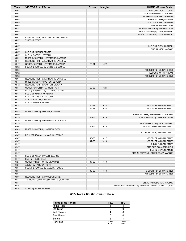| Time  | <b>VISITORS: #15 Texas</b>            | <b>Score</b> | <b>Margin</b>   | HOME: #7 Iowa State                              |
|-------|---------------------------------------|--------------|-----------------|--------------------------------------------------|
| 05:07 |                                       |              |                 | SUB OUT: VICK, MAGGIE                            |
| 05:07 |                                       |              |                 | SUB IN: FREDERICK, MADDIE                        |
| 05:07 |                                       |              |                 | MISSED FT by KANE, MORGAN                        |
| 05:05 |                                       |              |                 | REBOUND (OFF) by TEAM                            |
| 05:05 |                                       |              |                 | SUB OUT: KANE, MORGAN                            |
| 05:05 |                                       |              |                 | SUB IN: ZINGARO, IZZI                            |
| 04:51 |                                       |              |                 | MISSED JUMPER by ZINGARO, IZZI                   |
| 04:48 |                                       |              |                 | REBOUND (OFF) by DIEW, NYAMER                    |
| 04:47 |                                       |              |                 | MISSED JUMPER by DIEW, NYAMER                    |
| 04:42 | REBOUND (DEF) by ALLEN-TAYLOR, JOANNE |              |                 |                                                  |
| 04:37 | TIMEOUT 30SEC                         |              |                 |                                                  |
| 04:37 |                                       |              |                 |                                                  |
| 04:37 |                                       |              |                 | SUB OUT: DIEW, NYAMER                            |
| 04:37 |                                       |              |                 | SUB IN: VICK, MAGGIE                             |
| 04:37 | SUB OUT: MASUDI, FEMME                |              |                 |                                                  |
| 04:37 | SUB IN: GASTON, DEYONA                |              |                 |                                                  |
| 04:22 | MISSED JUMPER by LATTIMORE, LATASHA   |              |                 |                                                  |
| 04:19 | REBOUND (OFF) by LATTIMORE, LATASHA   |              |                 |                                                  |
| 04:17 | GOOD! JUMPER by LATTIMORE, LATASHA    | 39-61        | V <sub>22</sub> |                                                  |
| 04:02 | FOUL (PERSONAL) by GASTON, DEYONA     |              |                 |                                                  |
| 04:02 |                                       |              |                 | MISSED FT by ZINGARO, IZZI                       |
| 04:02 |                                       |              |                 | REBOUND (OFF) by TEAM                            |
| 04:02 |                                       |              |                 | MISSED FT by ZINGARO, IZZI                       |
| 04:01 | REBOUND (DEF) by LATTIMORE, LATASHA   |              |                 |                                                  |
| 03:44 | MISSED LAYUP by GASTON, DEYONA        |              |                 |                                                  |
| 03:42 | REBOUND (OFF) by GASTON, DEYONA       |              |                 |                                                  |
| 03:34 | GOOD! JUMPER by HARMON, RORI          | 39-63        | V <sub>24</sub> |                                                  |
| 03:14 | FOUL (PERSONAL) by MATHARU, ALIYAH    |              |                 |                                                  |
| 03:14 | SUB OUT: MATHARU, ALIYAH              |              |                 |                                                  |
| 03:14 | SUB OUT: GASTON, DEYONA               |              |                 |                                                  |
| 03:14 | SUB IN: HUNTER, KYNDALL               |              |                 |                                                  |
| 03:14 | SUB IN: MASUDI, FEMME                 |              |                 |                                                  |
| 03:14 |                                       | 40-63        | V <sub>23</sub> | GOOD! FT by RYAN, EMILY                          |
| 03:14 |                                       | 41-63        | V <sub>22</sub> | GOOD! FT by RYAN, EMILY                          |
| 02:53 | MISSED 3PTR by HUNTER, KYNDALL        |              |                 |                                                  |
| 02:50 |                                       |              |                 | REBOUND (DEF) by FREDERICK, MADDIE               |
| 02:39 |                                       | 43-63        | V <sub>20</sub> | GOOD! JUMPER by DONARSKI, LEXI                   |
| 02:16 | MISSED 3PTR by ALLEN-TAYLOR, JOANNE   |              |                 |                                                  |
| 02:13 |                                       |              |                 | REBOUND (DEF) by VICK, MAGGIE                    |
| 02:04 |                                       | 45-63        | V <sub>18</sub> | GOOD! LAYUP by RYAN, EMILY                       |
| 01:49 | MISSED JUMPER by HARMON, RORI         |              |                 |                                                  |
| 01:47 |                                       |              |                 | REBOUND (DEF) by RYAN, EMILY                     |
| 01:47 | FOUL (PERSONAL) by MASUDI, FEMME      |              |                 |                                                  |
| 01:47 |                                       | 46-63        | V <sub>17</sub> | GOOD! FT by RYAN, EMILY                          |
| 01:47 |                                       | 47-63        | V <sub>16</sub> | GOOD! FT by RYAN, EMILY                          |
| 01:47 |                                       |              |                 | SUB OUT: RYAN, EMILY                             |
| 01:47 |                                       |              |                 | SUB OUT: DONARSKI, LEXI                          |
| 01:47 |                                       |              |                 | SUB IN: DIEW, NYAMER                             |
| 01:47 |                                       |              |                 | SUB IN: ESPENMILLER-MCGRAW, MAGGIE               |
| 01:47 | SUB OUT: ALLEN-TAYLOR, JOANNE         |              |                 |                                                  |
| 01:47 | SUB IN: HOLLE, SHAY                   |              |                 |                                                  |
| 01:24 | GOOD! 3PTR by HUNTER, KYNDALL         | 47-66        | $V$ 19          |                                                  |
| 01:24 | ASSIST by HARMON, RORI                |              |                 |                                                  |
| 00:57 | FOUL (PERSONAL) by MASUDI, FEMME      |              |                 |                                                  |
| 00:57 |                                       | 48-66        | V <sub>18</sub> | GOOD! FT by ZINGARO, IZZI                        |
| 00:57 |                                       |              |                 | MISSED FT by ZINGARO, IZZI                       |
| 00:56 | REBOUND (DEF) by MASUDI, FEMME        |              |                 |                                                  |
| 00:31 | TURNOVER (BADPASS) by HUNTER, KYNDALL |              |                 |                                                  |
| 00:31 |                                       |              |                 | STEAL by FREDERICK, MADDIE                       |
| 00:16 |                                       |              |                 | TURNOVER (BADPASS) by ESPENMILLER-MCGRAW, MAGGIE |
| 00:16 | STEAL by HARMON, RORI                 |              |                 |                                                  |

# **#15 Texas 66, #7 Iowa State 48**

| <b>Points (This Period)</b> | <b>TEX</b>    | ISU           |
|-----------------------------|---------------|---------------|
| In the Paint                |               |               |
| Off Turns                   |               |               |
| 2nd Chance                  |               |               |
| <b>Fast Break</b>           |               |               |
| Bench                       |               |               |
| Per Poss                    | 0.929<br>6/14 | 1.000<br>7/14 |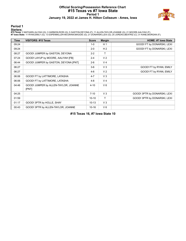### **Official Scoring/Possession Reference Chart #15 Texas vs #7 Iowa State Period 1 January 19, 2022 at James H. Hilton Coliseum - Ames, Iowa**



# **Period 1**

<mark>Startersː</mark><br>#15 Texas: 2 MATHARU,ALIYAH (G); 3 HARMON,RORI (G); 5 GASTON,DEYONA (F); 11 ALLEN-TAYLOR,JOANNE (G); 21 MOORE,AALIYAH (F);<br>#7 Iowa State: 11 RYAN,EMILY (G); 13 ESPENMILLER-MCGRAW,MAGGIE (G); 21 DONARSKI,LEXI (G

| <b>Time</b> | <b>VISITORS: #15 Texas</b>                    | <b>Score</b> | <b>Margin</b>  | <b>HOME: #7 Iowa State</b>   |
|-------------|-----------------------------------------------|--------------|----------------|------------------------------|
| 09:24       |                                               | $1-0$        | H <sub>1</sub> | GOOD! FT by DONARSKI, LEXI   |
| 09:24       |                                               | $2 - 0$      | H <sub>2</sub> | GOOD! FT by DONARSKI, LEXI   |
| 08:27       | GOOD! JUMPER by GASTON, DEYONA                | $2 - 2$      | т              |                              |
| 07:24       | GOOD! LAYUP by MOORE, AALIYAH [FB]            | $2 - 4$      | V <sub>2</sub> |                              |
| 06:44       | GOOD! JUMPER by GASTON, DEYONA [PNT]          | $2 - 6$      | V <sub>4</sub> |                              |
| 06:27       |                                               | $3-6$        | V <sub>3</sub> | GOOD! FT by RYAN, EMILY      |
| 06:27       |                                               | $4-6$        | V <sub>2</sub> | GOOD! FT by RYAN, EMILY      |
| 06:06       | GOOD! FT by LATTIMORE, LATASHA                | $4 - 7$      | $V_3$          |                              |
| 06:06       | GOOD! FT by LATTIMORE, LATASHA                | $4 - 8$      | V <sub>4</sub> |                              |
| 04:46       | GOOD! JUMPER by ALLEN-TAYLOR, JOANNE<br>[PNT] | $4 - 10$     | $V_6$          |                              |
| 04:25       |                                               | $7 - 10$     | V <sub>3</sub> | GOOD! 3PTR by DONARSKI, LEXI |
| 01:59       |                                               | $10 - 10$    | T.             | GOOD! 3PTR by DONARSKI, LEXI |
| 01:17       | GOOD! 3PTR by HOLLE, SHAY                     | $10-13$      | $V_3$          |                              |
| 00:43       | GOOD! 3PTR by ALLEN-TAYLOR, JOANNE            | $10 - 16$    | $V_6$          |                              |

**#15 Texas 16, #7 Iowa State 10**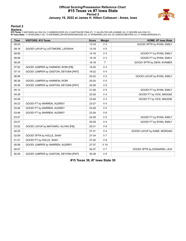### **Official Scoring/Possession Reference Chart #15 Texas vs #7 Iowa State Period 2 January 19, 2022 at James H. Hilton Coliseum - Ames, Iowa**



### **Period 2**

<mark>Startersː</mark><br>#15 Texas: 2 MATHARU,ALIYAH (G); 3 HARMON,RORI (G); 5 GASTON,DEYONA (F); 11 ALLEN-TAYLOR,JOANNE (G); 21 MOORE,AALIYAH (F);<br>#7 Iowa State: 11 RYAN,EMILY (G); 13 ESPENMILLER-MCGRAW,MAGGIE (G); 21 DONARSKI,LEXI (G

| <b>Time</b> | <b>VISITORS: #15 Texas</b>           | <b>Score</b> | <b>Margin</b>  | <b>HOME: #7 Iowa State</b>   |
|-------------|--------------------------------------|--------------|----------------|------------------------------|
| 09:34       |                                      | $13 - 16$    | V <sub>3</sub> | GOOD! 3PTR by RYAN, EMILY    |
| 09:16       | GOOD! LAYUP by LATTIMORE, LATASHA    | $13 - 18$    | V <sub>5</sub> |                              |
| 08:56       |                                      | $14 - 18$    | V <sub>4</sub> | GOOD! FT by RYAN, EMILY      |
| 08:56       |                                      | $15 - 18$    | V <sub>3</sub> | GOOD! FT by RYAN, EMILY      |
| 08:26       |                                      | $18 - 18$    | $\mathsf{T}$   | GOOD! 3PTR by DIEW, NYAMER   |
| 07:52       | GOOD! JUMPER by HARMON, RORI [FB]    | 18-20        | V <sub>2</sub> |                              |
| 07:10       | GOOD! JUMPER by GASTON, DEYONA [PNT] | 18-22        | V <sub>4</sub> |                              |
| 06:56       |                                      | $20 - 22$    | V <sub>2</sub> | GOOD! LAYUP by RYAN, EMILY   |
| 06:38       | GOOD! JUMPER by HARMON, RORI         | $20 - 24$    | V <sub>4</sub> |                              |
| 05:49       | GOOD! JUMPER by GASTON, DEYONA [PNT] | 20-26        | $V_6$          |                              |
| 05:12       |                                      | 21-26        | V <sub>5</sub> | GOOD! FT by RYAN, EMILY      |
| 04:39       |                                      | 22-26        | V <sub>4</sub> | GOOD! FT by VICK, MAGGIE     |
| 04:39       |                                      | 23-26        | V <sub>3</sub> | GOOD! FT by VICK, MAGGIE     |
| 04:23       | GOOD! FT by WARREN, AUDREY           | 23-27        | V <sub>4</sub> |                              |
| 03:46       | GOOD! FT by WARREN, AUDREY           | 23-28        | V <sub>5</sub> |                              |
| 03:46       | GOOD! FT by WARREN, AUDREY           | 23-29        | $V_6$          |                              |
| 03:37       |                                      | 24-29        | V <sub>5</sub> | GOOD! FT by RYAN, EMILY      |
| 03:37       |                                      | 25-29        | V <sub>4</sub> | GOOD! FT by RYAN, EMILY      |
| 03:02       | GOOD! LAYUP by MATHARU, ALIYAH [FB]  | 25-31        | $V_6$          |                              |
| 02:25       |                                      | 27-31        | V <sub>4</sub> | GOOD! LAYUP by KANE, MORGAN  |
| 02:09       | GOOD! 3PTR by HOLLE, SHAY            | 27-34        | V <sub>7</sub> |                              |
| 01:47       | GOOD! FT by HOLLE, SHAY              | 27-35        | V8             |                              |
| 00:58       | GOOD! JUMPER by WARREN, AUDREY       | 27-37        | $V$ 10         |                              |
| 00:47       |                                      | 30-37        | V <sub>7</sub> | GOOD! 3PTR by DONARSKI, LEXI |
| 00:26       | GOOD! JUMPER by GASTON, DEYONA [PNT] | 30-39        | V <sub>9</sub> |                              |

**#15 Texas 39, #7 Iowa State 30**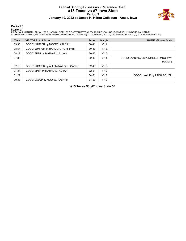### **Official Scoring/Possession Reference Chart #15 Texas vs #7 Iowa State Period 3 January 19, 2022 at James H. Hilton Coliseum - Ames, Iowa**



# **Period 3**

<mark>Startersː</mark><br>#15 Texas: 2 MATHARU,ALIYAH (G); 3 HARMON,RORI (G); 5 GASTON,DEYONA (F); 11 ALLEN-TAYLOR,JOANNE (G); 21 MOORE,AALIYAH (F);<br>#7 Iowa State: 11 RYAN,EMILY (G); 13 ESPENMILLER-MCGRAW,MAGGIE (G); 21 DONARSKI,LEXI (G

| <b>Time</b> | <b>VISITORS: #15 Texas</b>           | <b>Score</b> | <b>Margin</b>   | <b>HOME: #7 Iowa State</b>                          |
|-------------|--------------------------------------|--------------|-----------------|-----------------------------------------------------|
| 09:38       | GOOD! JUMPER by MOORE, AALIYAH       | $30 - 41$    | V <sub>11</sub> |                                                     |
| 08:57       | GOOD! JUMPER by HARMON, RORI [PNT]   | $30 - 43$    | V <sub>13</sub> |                                                     |
| 08:12       | GOOD! 3PTR by MATHARU, ALIYAH        | 30-46        | V <sub>16</sub> |                                                     |
| 07:36       |                                      | $32 - 46$    | V <sub>14</sub> | GOOD! LAYUP by ESPENMILLER-MCGRAW.<br><b>MAGGIE</b> |
| 07:10       | GOOD! JUMPER by ALLEN-TAYLOR, JOANNE | $32 - 48$    | V <sub>16</sub> |                                                     |
| 04:34       | GOOD! 3PTR by MATHARU, ALIYAH        | $32 - 51$    | V <sub>19</sub> |                                                     |
| 01:29       |                                      | $34 - 51$    | V <sub>17</sub> | GOOD! LAYUP by ZINGARO, IZZI                        |
| 00:33       | GOOD! LAYUP by MOORE, AALIYAH        | $34 - 53$    | V <sub>19</sub> |                                                     |

**#15 Texas 53, #7 Iowa State 34**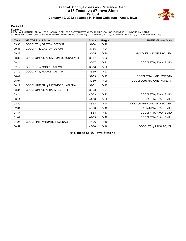### **Official Scoring/Possession Reference Chart #15 Texas vs #7 Iowa State Period 4 January 19, 2022 at James H. Hilton Coliseum - Ames, Iowa**



### **Period 4**

<mark>Startersː</mark><br>#15 Texas: 2 MATHARU,ALIYAH (G); 3 HARMON,RORI (G); 5 GASTON,DEYONA (F); 11 ALLEN-TAYLOR,JOANNE (G); 21 MOORE,AALIYAH (F);<br>#7 Iowa State: 11 RYAN,EMILY (G); 13 ESPENMILLER-MCGRAW,MAGGIE (G); 21 DONARSKI,LEXI (G

| <b>Time</b> | VISITORS: #15 Texas                  | <b>Score</b> | <b>Margin</b>   | <b>HOME: #7 lowa State</b>     |
|-------------|--------------------------------------|--------------|-----------------|--------------------------------|
| 09:36       | GOOD! FT by GASTON, DEYONA           | 34-54        | V <sub>20</sub> |                                |
| 09:36       | GOOD! FT by GASTON, DEYONA           | 34-55        | V <sub>21</sub> |                                |
| 09:23       |                                      | 35-55        | V <sub>20</sub> | GOOD! FT by DONARSKI, LEXI     |
| 08:37       | GOOD! JUMPER by GASTON, DEYONA [PNT] | 35-57        | V <sub>22</sub> |                                |
| 08:14       |                                      | 36-57        | V <sub>21</sub> | GOOD! FT by RYAN, EMILY        |
| 07:12       | GOOD! FT by MOORE, AALIYAH           | 36-58        | V <sub>22</sub> |                                |
| 07:12       | GOOD! FT by MOORE, AALIYAH           | 36-59        | V <sub>23</sub> |                                |
| 06:49       |                                      | 37-59        | V <sub>22</sub> | GOOD! FT by KANE, MORGAN       |
| 05:07       |                                      | 39-59        | V <sub>20</sub> | GOOD! LAYUP by KANE, MORGAN    |
| 04:17       | GOOD! JUMPER by LATTIMORE, LATASHA   | 39-61        | V <sub>22</sub> |                                |
| 03:34       | GOOD! JUMPER by HARMON, RORI         | 39-63        | V <sub>24</sub> |                                |
| 03:14       |                                      | 40-63        | V <sub>23</sub> | GOOD! FT by RYAN, EMILY        |
| 03:14       |                                      | 41-63        | V <sub>22</sub> | GOOD! FT by RYAN, EMILY        |
| 02:39       |                                      | 43-63        | V <sub>20</sub> | GOOD! JUMPER by DONARSKI, LEXI |
| 02:04       |                                      | 45-63        | V <sub>18</sub> | GOOD! LAYUP by RYAN, EMILY     |
| 01:47       |                                      | 46-63        | V <sub>17</sub> | GOOD! FT by RYAN, EMILY        |
| 01:47       |                                      | 47-63        | V <sub>16</sub> | GOOD! FT by RYAN, EMILY        |
| 01:24       | GOOD! 3PTR by HUNTER, KYNDALL        | 47-66        | V 19            |                                |
| 00:57       |                                      | 48-66        | V <sub>18</sub> | GOOD! FT by ZINGARO, IZZI      |

**#15 Texas 66, #7 Iowa State 48**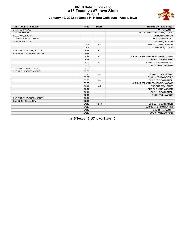### **Official Substitutions Log #15 Texas vs #7 Iowa State Period 1 January 19, 2022 at James H. Hilton Coliseum - Ames, Iowa**



| <b>VISITORS: #15 Texas</b>    | <b>Time</b> | <b>Score</b> | <b>HOME: #7 Iowa State</b>          |
|-------------------------------|-------------|--------------|-------------------------------------|
| 2 MATHARU, ALIYAH             |             |              | 11 RYAN, EMILY                      |
| 3 HARMON, RORI                |             |              | 13 ESPENMILLER-MCGRAW, MAGGIE       |
| 5 GASTON, DEYONA              |             |              | 21 DONARSKI, LEXI                   |
| 11 ALLEN-TAYLOR, JOANNE       |             |              | 25 JORDAO, BEATRIZ                  |
| 21 MOORE, AALIYAH             |             |              | 31 KANE, MORGAN                     |
|                               | 07:01       | $4 - 2$      | SUB OUT: KANE, MORGAN               |
|                               | 07:01       |              | SUB IN: VICK, MAGGIE                |
| SUB OUT: 21 MOORE, AALIYAH    | 06:37       | $6 - 2$      |                                     |
| SUB IN: 35 LATTIMORE, LATASHA | 06:37       |              |                                     |
|                               | 06:27       | $6 - 2$      | SUB OUT: ESPENMILLER-MCGRAW, MAGGIE |
|                               | 06:27       |              | SUB IN: DIEW, NYAMER                |
|                               | 06:06       | $6 - 4$      | SUB OUT: JORDAO, BEATRIZ            |
|                               | 06:06       |              | SUB IN: KANE, MORGAN                |
| SUB OUT: 3 HARMON, RORI       | 06:06       |              |                                     |
| SUB IN: 31 WARREN, AUDREY     | 06:06       |              |                                     |
|                               | 05:28       | $8 - 4$      | SUB OUT: VICK, MAGGIE               |
|                               | 05:28       |              | SUB IN: JORDAO, BEATRIZ             |
|                               | 05:08       | $8 - 4$      | SUB OUT: DIEW, NYAMER               |
|                               | 05:08       |              | SUB IN: ESPENMILLER-MCGRAW, MAGGIE  |
|                               | 02:11       | $10 - 7$     | SUB OUT: RYAN, EMILY                |
|                               | 02:11       |              | SUB OUT: KANE, MORGAN               |
|                               | 02:11       |              | SUB IN: DIEW, NYAMER                |
|                               | 02:11       |              | SUB IN: VICK, MAGGIE                |
| SUB OUT: 31 WARREN, AUDREY    | 02:11       |              |                                     |
| SUB IN: 10 HOLLE, SHAY        | 02:11       |              |                                     |
|                               | 01:10       | $13 - 10$    | SUB OUT: DIEW, NYAMER               |
|                               | 01:10       |              | SUB OUT: JORDAO, BEATRIZ            |
|                               | 01:10       |              | SUB IN: RYAN, EMILY                 |
|                               | 01:10       |              | SUB IN: KANE, MORGAN                |

**#15 Texas 16, #7 Iowa State 10**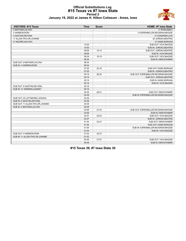

### **Official Substitutions Log #15 Texas vs #7 Iowa State Period 2 January 19, 2022 at James H. Hilton Coliseum - Ames, Iowa**

| <b>VISITORS: #15 Texas</b>       | <b>Time</b> | <b>Score</b>             | <b>HOME: #7 Iowa State</b>          |
|----------------------------------|-------------|--------------------------|-------------------------------------|
| 2 MATHARU, ALIYAH                |             |                          | 11 RYAN, EMILY                      |
| 3 HARMON, RORI                   |             |                          | 13 ESPENMILLER-MCGRAW, MAGGIE       |
| 5 GASTON, DEYONA                 |             |                          | 21 DONARSKI, LEXI                   |
| 11 ALLEN-TAYLOR, JOANNE          |             |                          | 25 JORDAO, BEATRIZ                  |
| 21 MOORE, AALIYAH                |             |                          | 31 KANE, MORGAN                     |
|                                  | 10:00       | $\overline{\phantom{a}}$ | SUB OUT: VICK.MAGGIE                |
|                                  | 10:00       |                          | SUB IN: JORDAO, BEATRIZ             |
|                                  | 08:56       | $18-13$                  | SUB OUT: JORDAO, BEATRIZ            |
|                                  | 08:56       |                          | SUB IN: VICK, MAGGIE                |
|                                  | 08:34       | 18-15                    | SUB OUT: VICK, MAGGIE               |
|                                  | 08:34       |                          | SUB IN: DIEW, NYAMER                |
| SUB OUT: 2 MATHARU, ALIYAH       | 08:34       |                          |                                     |
| SUB IN: 3 HARMON, RORI           | 08:34       |                          |                                     |
|                                  | 07:25       | $20 - 18$                | SUB OUT: KANE, MORGAN               |
|                                  | 07:25       |                          | SUB IN: JORDAO, BEATRIZ             |
|                                  | 05:19       | 26-20                    | SUB OUT: ESPENMILLER-MCGRAW, MAGGIE |
|                                  | 05:19       |                          | SUB OUT: JORDAO, BEATRIZ            |
|                                  | 05:19       |                          | SUB IN: KANE, MORGAN                |
|                                  | 05:19       |                          | SUB IN: VICK, MAGGIE                |
| SUB OUT: 5 GASTON, DEYONA        | 05:19       |                          |                                     |
| SUB IN: 31 WARREN, AUDREY        | 05:19       |                          |                                     |
|                                  | 04:39       | $26 - 21$                | SUB OUT: DIEW, NYAMER               |
|                                  | 04:39       |                          | SUB IN: ESPENMILLER-MCGRAW, MAGGIE  |
| SUB OUT: 35 LATTIMORE, LATASHA   | 04:39       |                          |                                     |
| SUB IN: 5 GASTON, DEYONA         | 04:39       |                          |                                     |
| SUB OUT: 11 ALLEN-TAYLOR, JOANNE | 04:39       |                          |                                     |
| SUB IN: 2 MATHARU, ALIYAH        | 04:39       |                          |                                     |
|                                  | 03:58       | $27 - 23$                | SUB OUT: ESPENMILLER-MCGRAW, MAGGIE |
|                                  | 03:58       |                          | SUB IN: DIEW, NYAMER                |
|                                  | 03:37       | 29-23                    | SUB OUT: VICK, MAGGIE               |
|                                  | 03:37       |                          | SUB IN: JORDAO, BEATRIZ             |
|                                  | 01:54       | 34-27                    | SUB OUT: DIEW, NYAMER               |
|                                  | 01:54       |                          | SUB OUT: KANE, MORGAN               |
|                                  | 01:54       |                          | SUB IN: ESPENMILLER-MCGRAW, MAGGIE  |
|                                  | 01:54       |                          | SUB IN: VICK, MAGGIE                |
| SUB OUT: 3 HARMON.RORI           | 01:53       | 34-27                    |                                     |
| SUB IN: 11 ALLEN-TAYLOR, JOANNE  | 01:53       |                          |                                     |
|                                  | 00:49       | 37-27                    | SUB OUT: VICK, MAGGIE               |
|                                  | 00:49       |                          | <b>SUB IN: DIEW.NYAMER</b>          |

**#15 Texas 39, #7 Iowa State 30**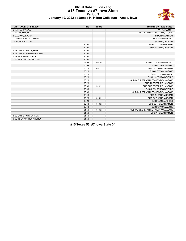

### **Official Substitutions Log #15 Texas vs #7 Iowa State Period 3 January 19, 2022 at James H. Hilton Coliseum - Ames, Iowa**

| <b>VISITORS: #15 Texas</b> | <b>Time</b> | <b>Score</b>   | <b>HOME: #7 Iowa State</b>          |
|----------------------------|-------------|----------------|-------------------------------------|
| 2 MATHARU, ALIYAH          |             |                | 11 RYAN, EMILY                      |
| 3 HARMON, RORI             |             |                | 13 ESPENMILLER-MCGRAW, MAGGIE       |
| 5 GASTON, DEYONA           |             |                | 21 DONARSKI,LEXI                    |
| 11 ALLEN-TAYLOR, JOANNE    |             |                | 25 JORDAO, BEATRIZ                  |
| 21 MOORE, AALIYAH          |             |                | 31 KANE, MORGAN                     |
|                            | 10:00       | $\overline{a}$ | SUB OUT: DIEW, NYAMER               |
|                            | 10:00       |                | SUB IN: KANE, MORGAN                |
| SUB OUT: 10 HOLLE, SHAY    | 10:00       |                |                                     |
| SUB OUT: 31 WARREN, AUDREY | 10:00       |                |                                     |
| SUB IN: 3 HARMON, RORI     | 10:00       |                |                                     |
| SUB IN: 21 MOORE, AALIYAH  | 10:00       |                |                                     |
|                            | 08:04       | 46-30          | SUB OUT: JORDAO, BEATRIZ            |
|                            | 08:04       |                | SUB IN: VICK, MAGGIE                |
|                            | 06:28       | 48-32          | SUB OUT: KANE, MORGAN               |
|                            | 06:28       |                | SUB OUT: VICK, MAGGIE               |
|                            | 06:28       |                | SUB IN: DIEW, NYAMER                |
|                            | 06:28       |                | SUB IN: JORDAO, BEATRIZ             |
|                            | 06:28       |                | SUB OUT: ESPENMILLER-MCGRAW, MAGGIE |
|                            | 06:28       |                | SUB IN: FREDERICK, MADDIE           |
|                            | 03:43       | 51-32          | SUB OUT: FREDERICK, MADDIE          |
|                            | 03:43       |                | SUB OUT: JORDAO, BEATRIZ            |
|                            | 03:43       |                | SUB IN: ESPENMILLER-MCGRAW, MAGGIE  |
|                            | 03:43       |                | SUB IN: KANE, MORGAN                |
|                            | 03:28       | 51-32          | SUB OUT: KANE, MORGAN               |
|                            | 03:28       |                | SUB IN: ZINGARO, IZZI               |
|                            | 02:43       | 51-32          | SUB OUT: DIEW, NYAMER               |
|                            | 02:43       |                | SUB IN: VICK, MAGGIE                |
|                            | 01:50       | 51-32          | SUB OUT: ESPENMILLER-MCGRAW, MAGGIE |
|                            | 01:50       |                | SUB IN: DIEW, NYAMER                |
| SUB OUT: 3 HARMON, RORI    | 01:50       |                |                                     |
| SUB IN: 31 WARREN, AUDREY  | 01:50       |                |                                     |

**#15 Texas 53, #7 Iowa State 34**